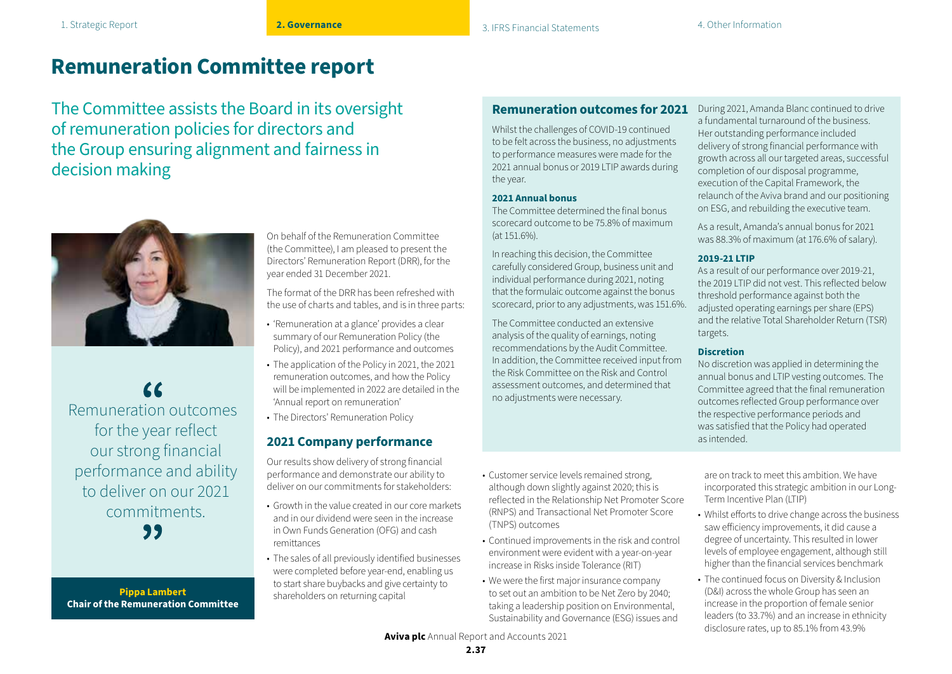## **Remuneration Committee report**

The Committee assists the Board in its oversight of remuneration policies for directors and the Group ensuring alignment and fairness in decision making



Remuneration outcomes for the year reflect our strong financial performance and ability to deliver on our 2021 commitments. 99

**Pippa Lambert Chair of the Remuneration Committee** On behalf of the Remuneration Committee (the Committee), I am pleased to present the Directors' Remuneration Report (DRR), for the year ended 31 December 2021.

The format of the DRR has been refreshed with the use of charts and tables, and is in three parts:

- 'Remuneration at a glance' provides a clear summary of our Remuneration Policy (the Policy), and 2021 performance and outcomes
- The application of the Policy in 2021, the 2021 remuneration outcomes, and how the Policy will be implemented in 2022 are detailed in the 'Annual report on remuneration'
- The Directors' Remuneration Policy

## **2021 Company performance**

Our results show delivery of strong financial performance and demonstrate our ability to deliver on our commitments for stakeholders:

- Growth in the value created in our core markets and in our dividend were seen in the increase in Own Funds Generation (OFG) and cash remittances
- The sales of all previously identified businesses were completed before year-end, enabling us to start share buybacks and give certainty to shareholders on returning capital

### **Remuneration outcomes for 2021**

Whilst the challenges of COVID-19 continued to be felt across the business, no adjustments to performance measures were made for the 2021 annual bonus or 2019 LTIP awards during the year.

#### **2021 Annual bonus**

The Committee determined the final bonus scorecard outcome to be 75.8% of maximum (at 151.6%).

In reaching this decision, the Committee carefully considered Group, business unit and individual performance during 2021, noting that the formulaic outcome against the bonus scorecard, prior to any adjustments, was 151.6%.

The Committee conducted an extensive analysis of the quality of earnings, noting recommendations by the Audit Committee. In addition, the Committee received input from the Risk Committee on the Risk and Control assessment outcomes, and determined that no adjustments were necessary.

During 2021, Amanda Blanc continued to drive a fundamental turnaround of the business. Her outstanding performance included delivery of strong financial performance with growth across all our targeted areas, successful completion of our disposal programme, execution of the Capital Framework, the relaunch of the Aviva brand and our positioning on ESG, and rebuilding the executive team.

As a result, Amanda's annual bonus for 2021 was 88.3% of maximum (at 176.6% of salary).

#### **2019-21 LTIP**

As a result of our performance over 2019-21, the 2019 LTIP did not vest. This reflected below threshold performance against both the adjusted operating earnings per share (EPS) and the relative Total Shareholder Return (TSR) targets.

### **Discretion**

No discretion was applied in determining the annual bonus and LTIP vesting outcomes. The Committee agreed that the final remuneration outcomes reflected Group performance over the respective performance periods and was satisfied that the Policy had operated as intended.

• Customer service levels remained strong, although down slightly against 2020; this is reflected in the Relationship Net Promoter Score (RNPS) and Transactional Net Promoter Score (TNPS) outcomes

- Continued improvements in the risk and control environment were evident with a year-on-year increase in Risks inside Tolerance (RIT)
- We were the first major insurance company to set out an ambition to be Net Zero by 2040; taking a leadership position on Environmental, Sustainability and Governance (ESG) issues and

are on track to meet this ambition. We have incorporated this strategic ambition in our Long-Term Incentive Plan (LTIP)

- Whilst efforts to drive change across the business saw efficiency improvements, it did cause a degree of uncertainty. This resulted in lower levels of employee engagement, although still higher than the financial services benchmark
- The continued focus on Diversity & Inclusion (D&I) across the whole Group has seen an increase in the proportion of female senior leaders (to 33.7%) and an increase in ethnicity disclosure rates, up to 85.1% from 43.9%

**Aviva plc** Annual Report and Accounts 2021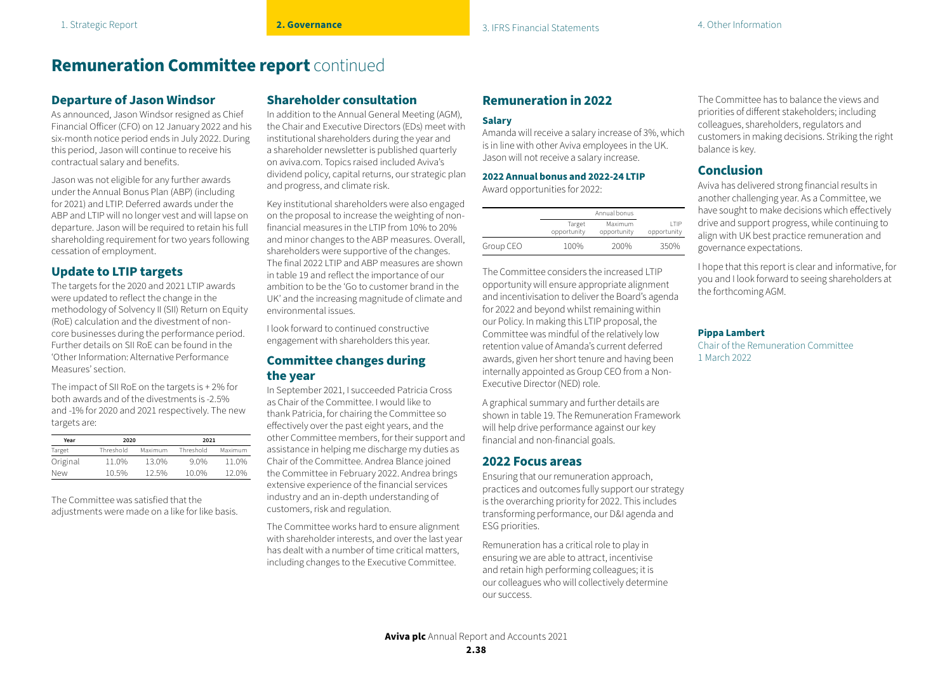## **Remuneration Committee report** continued

### **Departure of Jason Windsor**

As announced, Jason Windsor resigned as Chief Financial Officer (CFO) on 12 January 2022 and his six-month notice period ends in July 2022. During this period, Jason will continue to receive his contractual salary and benefits.

Jason was not eligible for any further awards under the Annual Bonus Plan (ABP) (including for 2021) and LTIP. Deferred awards under the ABP and LTIP will no longer vest and will lapse on departure. Jason will be required to retain his full shareholding requirement for two years following cessation of employment.

### **Update to LTIP targets**

The targets for the 2020 and 2021 LTIP awards were updated to reflect the change in the methodology of Solvency II (SII) Return on Equity (RoE) calculation and the divestment of noncore businesses during the performance period. Further details on SII RoE can be found in the 'Other Information: Alternative Performance Measures' section.

The impact of SII RoE on the targets is + 2% for both awards and of the divestments is -2.5% and -1% for 2020 and 2021 respectively. The new targets are:

| Year       | 2020      |         | 2021      |         |  |  |
|------------|-----------|---------|-----------|---------|--|--|
| Target     | Threshold | Maximum | Threshold | Maximum |  |  |
| Original   | 11.0%     | 13.0%   | $9.0\%$   | 11.0%   |  |  |
| <b>New</b> | 10.5%     | 12.5%   | 10.0%     | 12.0%   |  |  |

The Committee was satisfied that the adjustments were made on a like for like basis.

### **Shareholder consultation**

In addition to the Annual General Meeting (AGM), the Chair and Executive Directors (EDs) meet with institutional shareholders during the year and a shareholder newsletter is published quarterly on aviva.com. Topics raised included Aviva's dividend policy, capital returns, our strategic plan and progress, and climate risk.

Key institutional shareholders were also engaged on the proposal to increase the weighting of nonfinancial measures in the LTIP from 10% to 20% and minor changes to the ABP measures. Overall, shareholders were supportive of the changes. The final 2022 LTIP and ABP measures are shown in table 19 and reflect the importance of our ambition to be the 'Go to customer brand in the UK' and the increasing magnitude of climate and environmental issues.

I look forward to continued constructive engagement with shareholders this year.

### **Committee changes during the year**

In September 2021, I succeeded Patricia Cross as Chair of the Committee. I would like to thank Patricia, for chairing the Committee so effectively over the past eight years, and the other Committee members, for their support and assistance in helping me discharge my duties as Chair of the Committee. Andrea Blance joined the Committee in February 2022. Andrea brings extensive experience of the financial services industry and an in-depth understanding of customers, risk and regulation.

The Committee works hard to ensure alignment with shareholder interests, and over the last year has dealt with a number of time critical matters, including changes to the Executive Committee.

## **Remuneration in 2022**

#### **Salary**

Amanda will receive a salary increase of 3%, which is in line with other Aviva employees in the UK. Jason will not receive a salary increase.

#### **2022 Annual bonus and 2022-24 LTIP**

Award opportunities for 2022:

|           |                       | Annual bonus           |                      |  |  |  |
|-----------|-----------------------|------------------------|----------------------|--|--|--|
|           | Target<br>opportunity | Maximum<br>opportunity | I TIP<br>opportunity |  |  |  |
| Group CEO | 100%                  | 200%                   | 350%                 |  |  |  |

The Committee considers the increased LTIP opportunity will ensure appropriate alignment and incentivisation to deliver the Board's agenda for 2022 and beyond whilst remaining within our Policy. In making this LTIP proposal, the Committee was mindful of the relatively low retention value of Amanda's current deferred awards, given her short tenure and having been internally appointed as Group CEO from a Non-Executive Director (NED) role.

A graphical summary and further details are shown in table 19. The Remuneration Framework will help drive performance against our key financial and non-financial goals.

### **2022 Focus areas**

Ensuring that our remuneration approach, practices and outcomes fully support our strategy is the overarching priority for 2022. This includes transforming performance, our D&I agenda and ESG priorities.

Remuneration has a critical role to play in ensuring we are able to attract, incentivise and retain high performing colleagues; it is our colleagues who will collectively determine our success.

The Committee has to balance the views and priorities of different stakeholders; including colleagues, shareholders, regulators and customers in making decisions. Striking the right balance is key.

## **Conclusion**

Aviva has delivered strong financial results in another challenging year. As a Committee, we have sought to make decisions which effectively drive and support progress, while continuing to align with UK best practice remuneration and governance expectations.

I hope that this report is clear and informative, for you and I look forward to seeing shareholders at the forthcoming AGM.

### **Pippa Lambert**

Chair of the Remuneration Committee 1 March 2022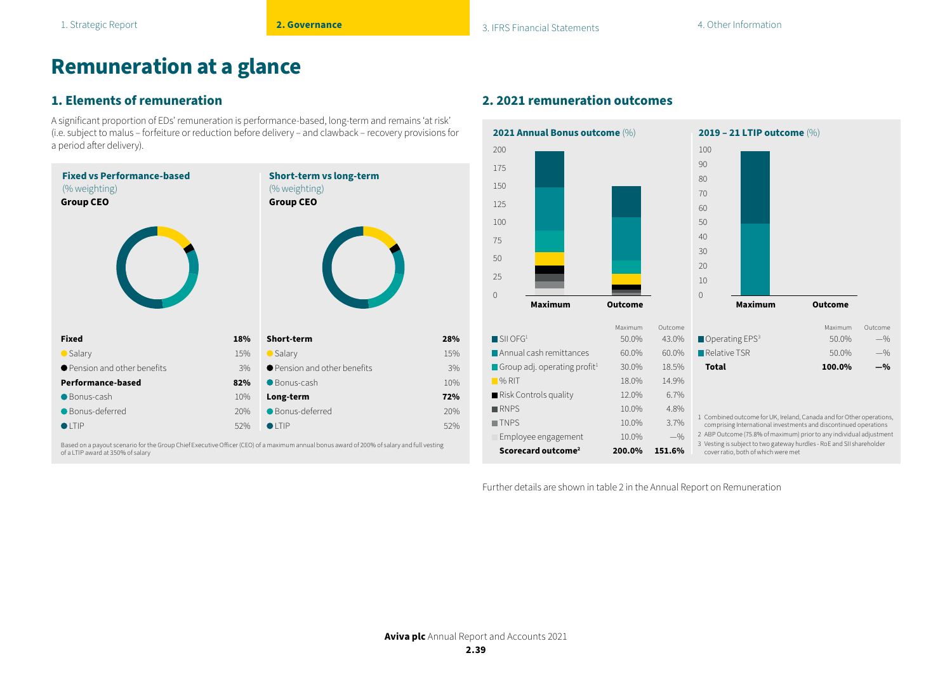## **Remuneration at a glance**

## **1. Elements of remuneration**

A significant proportion of EDs' remuneration is performance-based, long-term and remains 'at risk' (i.e. subject to malus – forfeiture or reduction before delivery – and clawback – recovery provisions for a period after delivery).



Based on a payout scenario for the Group Chief Executive Officer (CEO) of a maximum annual bonus award of 200% of salary and full vesting of a LTIP award at 350% of salary

## **2. 2021 remuneration outcomes**



Further details are shown in table 2 in the Annual Report on Remuneration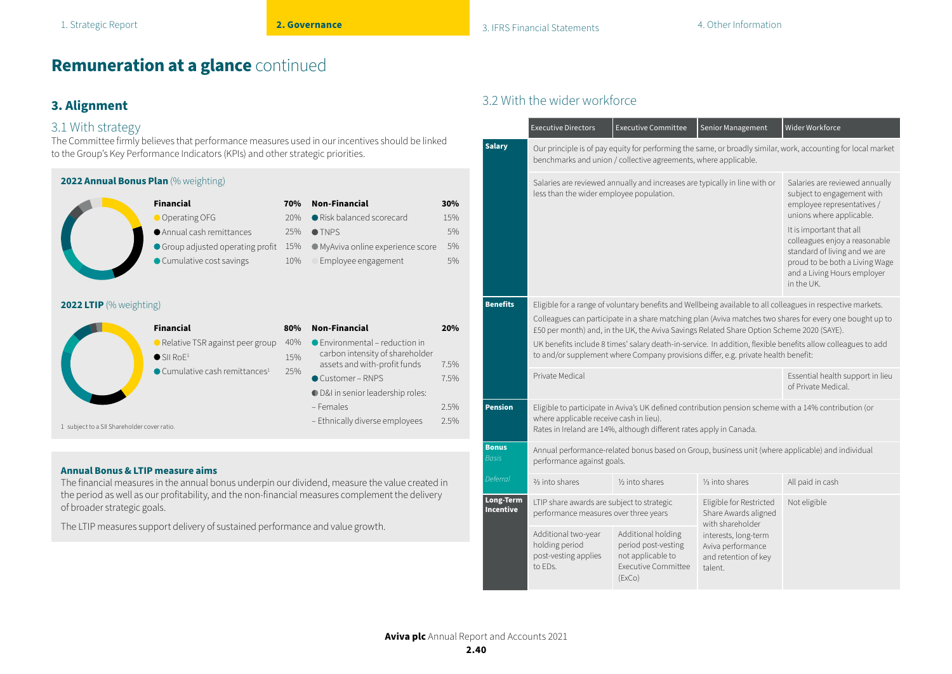## **Remuneration at a glance** continued

## **3. Alignment**

### 3.1 With strategy

of broader strategic goals.

The Committee firmly believes that performance measures used in our incentives should be linked to the Group's Key Performance Indicators (KPIs) and other strategic priorities.

| 2022 Annual Bonus Plan (% weighting)        |                                                                                                                                               |                                 |                                                                                                                                                                                                                                              |                                     |
|---------------------------------------------|-----------------------------------------------------------------------------------------------------------------------------------------------|---------------------------------|----------------------------------------------------------------------------------------------------------------------------------------------------------------------------------------------------------------------------------------------|-------------------------------------|
| 2022 LTIP (% weighting)                     | <b>Financial</b><br>Operating OFG<br>Annual cash remittances<br>● Group adjusted operating profit<br>● Cumulative cost savings                | 70%<br>20%<br>25%<br>15%<br>10% | <b>Non-Financial</b><br>Risk balanced scorecard<br>$\bullet$ TNPS<br>● MyAviva online experience score<br>Employee engagement                                                                                                                | 30%<br>15%<br>5%<br>5%<br>5%        |
| 1 subject to a SII Shareholder cover ratio. | <b>Financial</b><br>● Relative TSR against peer group<br>$\bullet$ SII RoF <sup>1</sup><br>$\bullet$ Cumulative cash remittances <sup>1</sup> | 80%<br>40%<br>15%<br>25%        | <b>Non-Financial</b><br>$\bullet$ Environmental – reduction in<br>carbon intensity of shareholder<br>assets and with-profit funds<br>Customer-RNPS<br><b>D</b> &I in senior leadership roles:<br>- Females<br>- Ethnically diverse employees | 20%<br>7.5%<br>7.5%<br>2.5%<br>2.5% |
| <b>Annual Bonus &amp; LTIP measure aims</b> |                                                                                                                                               |                                 | The financial measures in the annual bonus underpin our dividend, measure the value created in<br>the period as well as our profitability, and the non-financial measures complement the delivery                                            |                                     |

The LTIP measures support delivery of sustained performance and value growth.

## 3.2 With the wider workforce

|                              | <b>Executive Directors</b>                                                                                                                                                                                                                                                                                                                                                                                                                                                                                                 | <b>Executive Committee</b>                                                                                                                                                | Senior Management                                                            | Wider Workforce                                                                                                        |  |  |  |
|------------------------------|----------------------------------------------------------------------------------------------------------------------------------------------------------------------------------------------------------------------------------------------------------------------------------------------------------------------------------------------------------------------------------------------------------------------------------------------------------------------------------------------------------------------------|---------------------------------------------------------------------------------------------------------------------------------------------------------------------------|------------------------------------------------------------------------------|------------------------------------------------------------------------------------------------------------------------|--|--|--|
| <b>Salary</b>                |                                                                                                                                                                                                                                                                                                                                                                                                                                                                                                                            | benchmarks and union / collective agreements, where applicable.                                                                                                           |                                                                              | Our principle is of pay equity for performing the same, or broadly similar, work, accounting for local market          |  |  |  |
|                              | less than the wider employee population.                                                                                                                                                                                                                                                                                                                                                                                                                                                                                   | Salaries are reviewed annually and increases are typically in line with or                                                                                                |                                                                              | Salaries are reviewed annually<br>subject to engagement with<br>employee representatives /<br>unions where applicable. |  |  |  |
|                              |                                                                                                                                                                                                                                                                                                                                                                                                                                                                                                                            | It is important that all<br>colleagues enjoy a reasonable<br>standard of living and we are<br>proud to be both a Living Wage<br>and a Living Hours employer<br>in the UK. |                                                                              |                                                                                                                        |  |  |  |
| <b>Benefits</b>              | Eligible for a range of voluntary benefits and Wellbeing available to all colleagues in respective markets.<br>Colleagues can participate in a share matching plan (Aviva matches two shares for every one bought up to<br>£50 per month) and, in the UK, the Aviva Savings Related Share Option Scheme 2020 (SAYE).<br>UK benefits include 8 times' salary death-in-service. In addition, flexible benefits allow colleagues to add<br>to and/or supplement where Company provisions differ, e.g. private health benefit: |                                                                                                                                                                           |                                                                              |                                                                                                                        |  |  |  |
|                              | Private Medical                                                                                                                                                                                                                                                                                                                                                                                                                                                                                                            |                                                                                                                                                                           |                                                                              | Essential health support in lieu<br>of Private Medical.                                                                |  |  |  |
| <b>Pension</b>               | where applicable receive cash in lieu).                                                                                                                                                                                                                                                                                                                                                                                                                                                                                    | Rates in Ireland are 14%, although different rates apply in Canada.                                                                                                       |                                                                              | Eligible to participate in Aviva's UK defined contribution pension scheme with a 14% contribution (or                  |  |  |  |
| <b>Bonus</b><br><b>Basis</b> | performance against goals.                                                                                                                                                                                                                                                                                                                                                                                                                                                                                                 |                                                                                                                                                                           |                                                                              | Annual performance-related bonus based on Group, business unit (where applicable) and individual                       |  |  |  |
| Deferral                     | 3/ <sub>3</sub> into shares                                                                                                                                                                                                                                                                                                                                                                                                                                                                                                | 1/ <sub>2</sub> into shares                                                                                                                                               | 1/ <sub>3</sub> into shares                                                  | All paid in cash                                                                                                       |  |  |  |
| Long-Term<br>Incentive       | LTIP share awards are subject to strategic<br>performance measures over three years                                                                                                                                                                                                                                                                                                                                                                                                                                        |                                                                                                                                                                           | Eligible for Restricted<br>Share Awards aligned<br>with shareholder          | Not eligible                                                                                                           |  |  |  |
|                              | Additional two-year<br>holding period<br>post-vesting applies<br>to FDs.                                                                                                                                                                                                                                                                                                                                                                                                                                                   | Additional holding<br>period post-vesting<br>not applicable to<br>Executive Committee<br>(ExCo)                                                                           | interests, long-term<br>Aviva performance<br>and retention of key<br>talent. |                                                                                                                        |  |  |  |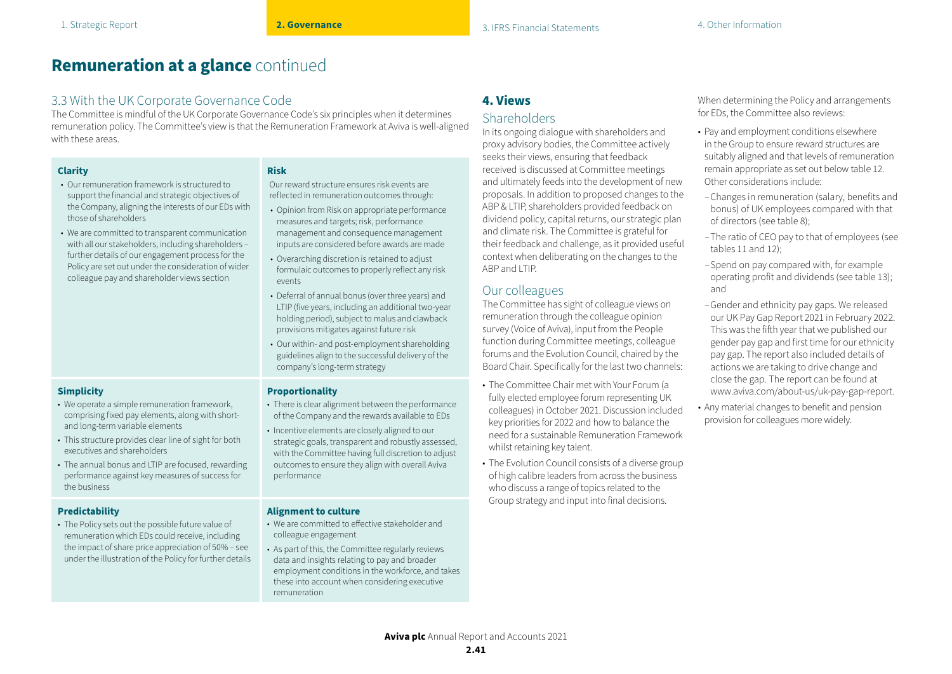## **Remuneration at a glance** continued

## 3.3 With the UK Corporate Governance Code

The Committee is mindful of the UK Corporate Governance Code's six principles when it determines remuneration policy. The Committee's view is that the Remuneration Framework at Aviva is well-aligned with these areas.

| arıt |
|------|
|------|

**Simplicity**

the business

**Predictability**

- Our remuneration framework is structured to support the financial and strategic objectives of the Company, aligning the interests of our EDs with those of shareholders
- We are committed to transparent communication with all our stakeholders, including shareholders – further details of our engagement process for the Policy are set out under the consideration of wider colleague pay and shareholder views section

• We operate a simple remuneration framework, comprising fixed pay elements, along with short-

• This structure provides clear line of sight for both

• The annual bonus and LTIP are focused, rewarding performance against key measures of success for

• The Policy sets out the possible future value of remuneration which EDs could receive, including the impact of share price appreciation of 50% – see under the illustration of the Policy for further details

and long-term variable elements

executives and shareholders

### **Risk**

Our reward structure ensures risk events are reflected in remuneration outcomes through:

- Opinion from Risk on appropriate performance measures and targets; risk, performance management and consequence management inputs are considered before awards are made
- Overarching discretion is retained to adjust formulaic outcomes to properly reflect any risk events
- Deferral of annual bonus (over three years) and LTIP (five years, including an additional two-year holding period), subject to malus and clawback provisions mitigates against future risk
- Our within- and post-employment shareholding guidelines align to the successful delivery of the company's long-term strategy

### **Proportionality**

- There is clear alignment between the performance of the Company and the rewards available to EDs
- Incentive elements are closely aligned to our strategic goals, transparent and robustly assessed, with the Committee having full discretion to adjust outcomes to ensure they align with overall Aviva performance

#### **Alignment to culture**

- We are committed to effective stakeholder and colleague engagement
- As part of this, the Committee regularly reviews data and insights relating to pay and broader employment conditions in the workforce, and takes these into account when considering executive remuneration

## **4. Views**

### **Shareholders**

In its ongoing dialogue with shareholders and proxy advisory bodies, the Committee actively seeks their views, ensuring that feedback received is discussed at Committee meetings and ultimately feeds into the development of new proposals. In addition to proposed changes to the ABP & LTIP, shareholders provided feedback on dividend policy, capital returns, our strategic plan and climate risk. The Committee is grateful for their feedback and challenge, as it provided useful context when deliberating on the changes to the ABP and LTIP.

## Our colleagues

The Committee has sight of colleague views on remuneration through the colleague opinion survey (Voice of Aviva), input from the People function during Committee meetings, colleague forums and the Evolution Council, chaired by the Board Chair. Specifically for the last two channels:

- The Committee Chair met with Your Forum (a fully elected employee forum representing UK colleagues) in October 2021. Discussion included key priorities for 2022 and how to balance the need for a sustainable Remuneration Framework whilst retaining key talent.
- The Evolution Council consists of a diverse group of high calibre leaders from across the business who discuss a range of topics related to the Group strategy and input into final decisions.

When determining the Policy and arrangements for EDs, the Committee also reviews:

- Pay and employment conditions elsewhere in the Group to ensure reward structures are suitably aligned and that levels of remuneration remain appropriate as set out below table 12. Other considerations include:
- –Changes in remuneration (salary, benefits and bonus) of UK employees compared with that of directors (see table 8);
- –The ratio of CEO pay to that of employees (see tables 11 and 12);
- –Spend on pay compared with, for example operating profit and dividends (see table 13); and
- –Gender and ethnicity pay gaps. We released our UK Pay Gap Report 2021 in February 2022. This was the fifth year that we published our gender pay gap and first time for our ethnicity pay gap. The report also included details of actions we are taking to drive change and close the gap. The report can be found at www.aviva.com/about-us/uk-pay-gap-report.
- Any material changes to benefit and pension provision for colleagues more widely.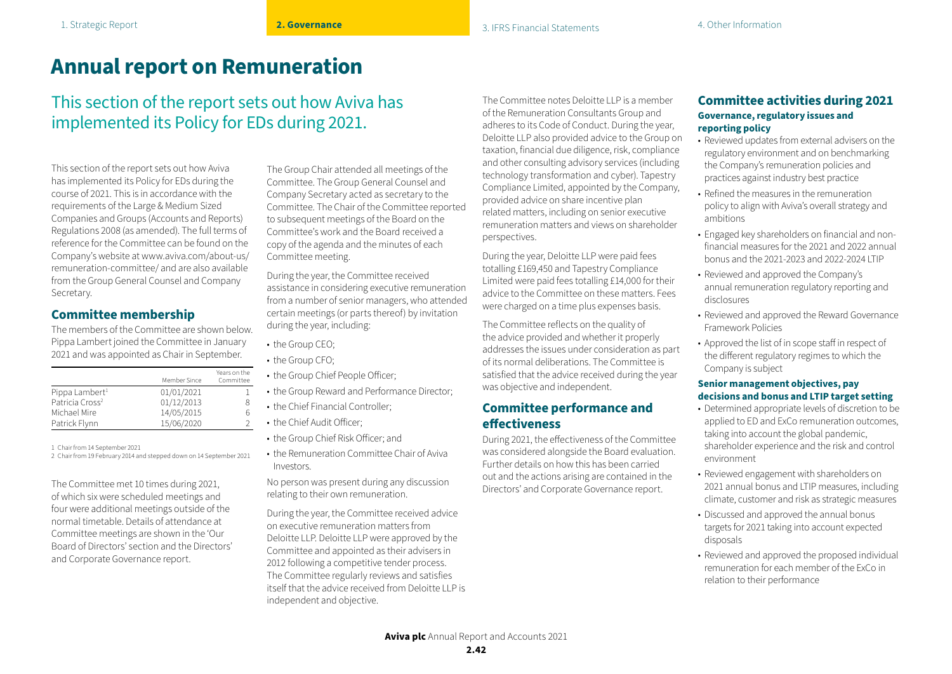# **Annual report on Remuneration**

This section of the report sets out how Aviva has implemented its Policy for EDs during 2021.

This section of the report sets out how Aviva has implemented its Policy for EDs during the course of 2021. This is in accordance with the requirements of the Large & Medium Sized Companies and Groups (Accounts and Reports) Regulations 2008 (as amended). The full terms of reference for the Committee can be found on the Company's website at www.aviva.com/about-us/ remuneration-committee/ and are also available from the Group General Counsel and Company Secretary.

## **Committee membership**

The members of the Committee are shown below. Pippa Lambert joined the Committee in January 2021 and was appointed as Chair in September.

|                             | Member Since | Years on the<br>Committee |
|-----------------------------|--------------|---------------------------|
| Pippa Lambert <sup>1</sup>  | 01/01/2021   |                           |
| Patricia Cross <sup>2</sup> | 01/12/2013   | 8                         |
| Michael Mire                | 14/05/2015   | h                         |
| Patrick Flynn               | 15/06/2020   |                           |

1 Chair from 14 September 2021

2 Chair from 19 February 2014 and stepped down on 14 September 2021

The Committee met 10 times during 2021, of which six were scheduled meetings and four were additional meetings outside of the normal timetable. Details of attendance at Committee meetings are shown in the 'Our Board of Directors' section and the Directors' and Corporate Governance report.

The Group Chair attended all meetings of the Committee. The Group General Counsel and Company Secretary acted as secretary to the Committee. The Chair of the Committee reported to subsequent meetings of the Board on the Committee's work and the Board received a copy of the agenda and the minutes of each Committee meeting.

During the year, the Committee received assistance in considering executive remuneration from a number of senior managers, who attended certain meetings (or parts thereof) by invitation during the year, including:

- the Group CEO;
- the Group CFO:
- the Group Chief People Officer;
- the Group Reward and Performance Director;
- the Chief Financial Controller:
- the Chief Audit Officer;
- the Group Chief Risk Officer; and
- the Remuneration Committee Chair of Aviva Investors.

No person was present during any discussion relating to their own remuneration.

During the year, the Committee received advice on executive remuneration matters from Deloitte LLP. Deloitte LLP were approved by the Committee and appointed as their advisers in 2012 following a competitive tender process. The Committee regularly reviews and satisfies itself that the advice received from Deloitte LLP is independent and objective.

The Committee notes Deloitte LLP is a member of the Remuneration Consultants Group and adheres to its Code of Conduct. During the year, Deloitte LLP also provided advice to the Group on taxation, financial due diligence, risk, compliance and other consulting advisory services (including technology transformation and cyber). Tapestry Compliance Limited, appointed by the Company, provided advice on share incentive plan related matters, including on senior executive remuneration matters and views on shareholder perspectives.

During the year, Deloitte LLP were paid fees totalling £169,450 and Tapestry Compliance Limited were paid fees totalling £14,000 for their advice to the Committee on these matters. Fees were charged on a time plus expenses basis.

The Committee reflects on the quality of the advice provided and whether it properly addresses the issues under consideration as part of its normal deliberations. The Committee is satisfied that the advice received during the year was objective and independent.

### **Committee performance and effectiveness**

During 2021, the effectiveness of the Committee was considered alongside the Board evaluation. Further details on how this has been carried out and the actions arising are contained in the Directors' and Corporate Governance report.

### **Committee activities during 2021 Governance, regulatory issues and reporting policy**

- Reviewed updates from external advisers on the regulatory environment and on benchmarking the Company's remuneration policies and practices against industry best practice
- Refined the measures in the remuneration policy to align with Aviva's overall strategy and ambitions
- Engaged key shareholders on financial and nonfinancial measures for the 2021 and 2022 annual bonus and the 2021-2023 and 2022-2024 LTIP
- Reviewed and approved the Company's annual remuneration regulatory reporting and disclosures
- Reviewed and approved the Reward Governance Framework Policies
- Approved the list of in scope staff in respect of the different regulatory regimes to which the Company is subject

### **Senior management objectives, pay decisions and bonus and LTIP target setting**

- Determined appropriate levels of discretion to be applied to ED and ExCo remuneration outcomes, taking into account the global pandemic, shareholder experience and the risk and control environment
- Reviewed engagement with shareholders on 2021 annual bonus and LTIP measures, including climate, customer and risk as strategic measures
- Discussed and approved the annual bonus targets for 2021 taking into account expected disposals
- Reviewed and approved the proposed individual remuneration for each member of the ExCo in relation to their performance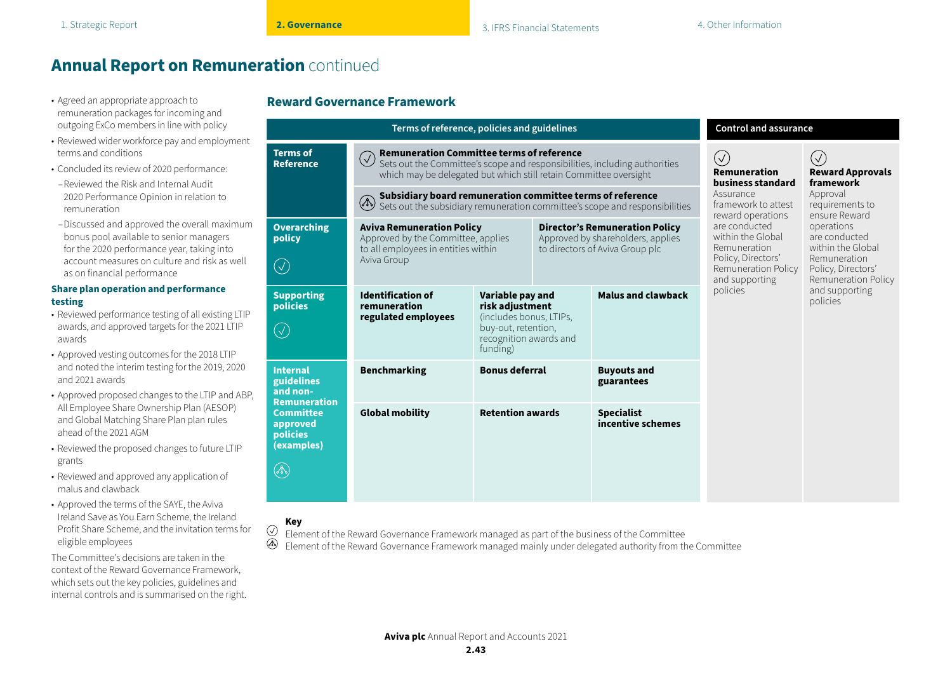- remuneration packages for incoming and outgoing ExCo members in line with policy
- Reviewed wider workforce pay and employment terms and conditions
- Concluded its review of 2020 performance:
- –Reviewed the Risk and Internal Audit 2020 Performance Opinion in relation to remuneration
- –Discussed and approved the overall maximum bonus pool available to senior managers for the 2020 performance year, taking into account measures on culture and risk as well as on financial performance

#### **Share plan operation and performance testing**

- Reviewed performance testing of all existing LTIP awards, and approved targets for the 2021 LTIP awards
- Approved vesting outcomes for the 2018 LTIP and noted the interim testing for the 2019, 2020 and 2021 awards
- Approved proposed changes to the LTIP and ABP, All Employee Share Ownership Plan (AESOP) and Global Matching Share Plan plan rules ahead of the 2021 AGM
- Reviewed the proposed changes to future LTIP grants
- Reviewed and approved any application of malus and clawback
- Approved the terms of the SAYE, the Aviva Ireland Save as You Earn Scheme, the Ireland Profit Share Scheme, and the invitation terms for eligible employees

The Committee's decisions are taken in the context of the Reward Governance Framework, which sets out the key policies, guidelines and internal controls and is summarised on the right.

## • Agreed an appropriate approach to **Reward Governance Framework**

| Terms of reference, policies and guidelines                                                  |                                                                                                                                                                                                                   |                                                                                                                             |  |                                                                                                                                                  | <b>Control and assurance</b>                                                                                  |                                                   |
|----------------------------------------------------------------------------------------------|-------------------------------------------------------------------------------------------------------------------------------------------------------------------------------------------------------------------|-----------------------------------------------------------------------------------------------------------------------------|--|--------------------------------------------------------------------------------------------------------------------------------------------------|---------------------------------------------------------------------------------------------------------------|---------------------------------------------------|
| <b>Terms of</b><br><b>Reference</b>                                                          | <b>Remuneration Committee terms of reference</b><br>$\bigcirc$<br>Sets out the Committee's scope and responsibilities, including authorities<br>which may be delegated but which still retain Committee oversight |                                                                                                                             |  |                                                                                                                                                  | $(\vee)$<br><b>Remuneration</b><br>business standard                                                          | $\sqrt{}$<br><b>Reward Approvals</b><br>framework |
|                                                                                              | $\circled{A}$                                                                                                                                                                                                     |                                                                                                                             |  | <b>Subsidiary board remuneration committee terms of reference</b><br>Sets out the subsidiary remuneration committee's scope and responsibilities | Assurance<br>framework to attest<br>reward operations                                                         | Approval<br>requirements to<br>ensure Reward      |
| <b>Overarching</b><br>policy<br>$(\surd)$                                                    | <b>Aviva Remuneration Policy</b><br>Approved by the Committee, applies<br>to all employees in entities within<br>Aviva Group                                                                                      | <b>Director's Remuneration Policy</b><br>Approved by shareholders, applies<br>to directors of Aviva Group plc               |  | are conducted<br>within the Global<br>Remuneration<br>Policy, Directors'<br>Remuneration Policy<br>and supporting                                | operations<br>are conducted<br>within the Global<br>Remuneration<br>Policy, Directors'<br>Remuneration Policy |                                                   |
| <b>Supporting</b><br>policies<br>$(\surd)$                                                   | <b>Identification of</b><br>remuneration<br>regulated employees                                                                                                                                                   | Variable pay and<br>risk adjustment<br>(includes bonus, LTIPs,<br>buy-out, retention,<br>recognition awards and<br>funding) |  | <b>Malus and clawback</b>                                                                                                                        | policies                                                                                                      | and supporting<br>policies                        |
| <b>Internal</b><br>guidelines<br>and non-                                                    | <b>Benchmarking</b>                                                                                                                                                                                               | <b>Bonus deferral</b>                                                                                                       |  | <b>Buyouts and</b><br>guarantees                                                                                                                 |                                                                                                               |                                                   |
| <b>Remuneration</b><br><b>Committee</b><br>approved<br><b>policies</b><br>(examples)<br>(Do) | <b>Global mobility</b>                                                                                                                                                                                            | <b>Retention awards</b>                                                                                                     |  | <b>Specialist</b><br>incentive schemes                                                                                                           |                                                                                                               |                                                   |
|                                                                                              |                                                                                                                                                                                                                   |                                                                                                                             |  |                                                                                                                                                  |                                                                                                               |                                                   |

### **Key**

 $\odot$ Element of the Reward Governance Framework managed as part of the business of the Committee Element of the Reward Governance Framework managed mainly under delegated authority from the Committee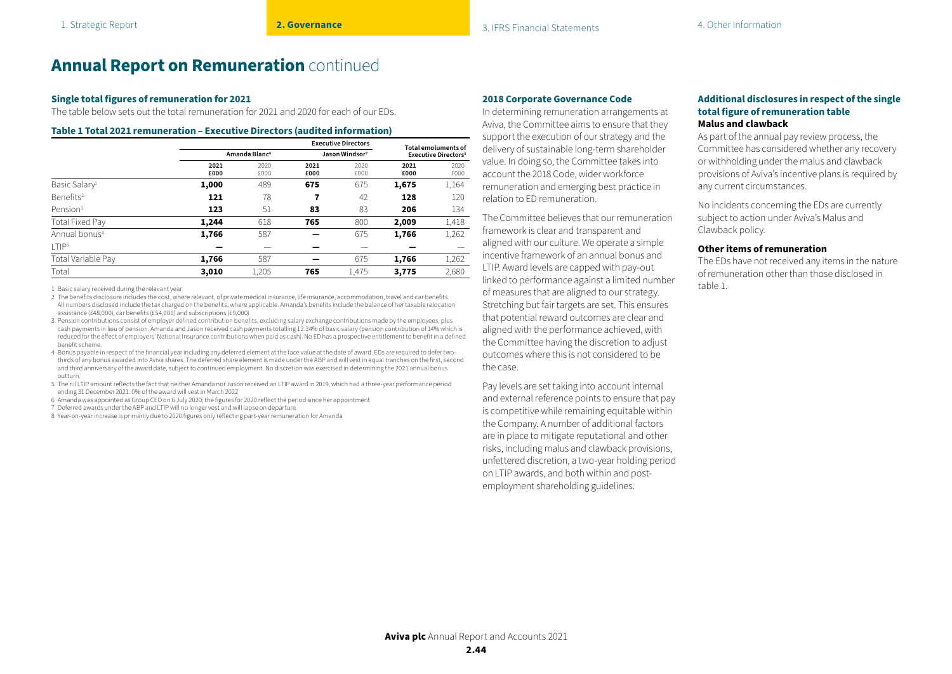#### **Single total figures of remuneration for 2021**

The table below sets out the total remuneration for 2021 and 2020 for each of our EDs.

#### **Table 1 Total 2021 remuneration – Executive Directors (audited information)**

|                           |                           | Total emoluments of |                            |              |                                        |              |
|---------------------------|---------------------------|---------------------|----------------------------|--------------|----------------------------------------|--------------|
|                           | Amanda Blanc <sup>6</sup> |                     | Jason Windsor <sup>7</sup> |              | <b>Executive Directors<sup>8</sup></b> |              |
|                           | 2021<br>£000              | 2020<br>£000        | 2021<br>£000               | 2020<br>£000 | 2021<br>£000                           | 2020<br>£000 |
| Basic Salary <sup>1</sup> | 1,000                     | 489                 | 675                        | 675          | 1,675                                  | 1,164        |
| Benefits <sup>2</sup>     | 121                       | 78                  | 7                          | 42           | 128                                    | 120          |
| Pension <sup>3</sup>      | 123                       | 51                  | 83                         | 83           | 206                                    | 134          |
| Total Fixed Pay           | 1,244                     | 618                 | 765                        | 800          | 2,009                                  | 1,418        |
| Annual bonus <sup>4</sup> | 1,766                     | 587                 |                            | 675          | 1,766                                  | 1,262        |
| T P <sub>5</sub>          |                           |                     |                            |              |                                        |              |
| Total Variable Pay        | 1,766                     | 587                 |                            | 675          | 1.766                                  | 1,262        |
| Total                     | 3,010                     | 1,205               | 765                        | 1,475        | 3,775                                  | 2,680        |

1 Basic salary received during the relevant year

- 2 The benefits disclosure includes the cost, where relevant, of private medical insurance, life insurance, accommodation, travel and car benefits. All numbers disclosed include the tax charged on the benefits, where applicable. Amanda's benefits include the balance of her taxable relocation assistance (£48,000), car benefits (£54,000) and subscriptions (£9,000).
- 3 Pension contributions consist of employer defined contribution benefits, excluding salary exchange contributions made by the employees, plus cash payments in lieu of pension. Amanda and Jason received cash payments totalling 12.34% of basic salary (pension contribution of 14% which is reduced for the effect of employers' National Insurance contributions when paid as cash). No ED has a prospective entitlement to benefit in a defined benefit scheme.
- 4 Bonus payable in respect of the financial year including any deferred element at the face value at the date of award. EDs are required to defer twothirds of any bonus awarded into Aviva shares. The deferred share element is made under the ABP and will vest in equal tranches on the first, second and third anniversary of the award date, subject to continued employment. No discretion was exercised in determining the 2021 annual bonus outturn.
- 5 The nil LTIP amount reflects the fact that neither Amanda nor Jason received an LTIP award in 2019, which had a three-year performance period ending 31 December 2021. 0% of the award will vest in March 2022
- 6 Amanda was appointed as Group CEO on 6 July 2020; the figures for 2020 reflect the period since her appointment
- 7 Deferred awards under the ABP and LTIP will no longer vest and will lapse on departure
- 8 Year-on-year increase is primarily due to 2020 figures only reflecting part-year remuneration for Amanda

#### **2018 Corporate Governance Code**

In determining remuneration arrangements at Aviva, the Committee aims to ensure that they support the execution of our strategy and the delivery of sustainable long-term shareholder value. In doing so, the Committee takes into account the 2018 Code, wider workforce remuneration and emerging best practice in relation to ED remuneration.

The Committee believes that our remuneration framework is clear and transparent and aligned with our culture. We operate a simple incentive framework of an annual bonus and LTIP. Award levels are capped with pay-out linked to performance against a limited number of measures that are aligned to our strategy. Stretching but fair targets are set. This ensures that potential reward outcomes are clear and aligned with the performance achieved, with the Committee having the discretion to adjust outcomes where this is not considered to be the case.

Pay levels are set taking into account internal and external reference points to ensure that pay is competitive while remaining equitable within the Company. A number of additional factors are in place to mitigate reputational and other risks, including malus and clawback provisions, unfettered discretion, a two-year holding period on LTIP awards, and both within and postemployment shareholding guidelines.

#### **Additional disclosures in respect of the single total figure of remuneration table Malus and clawback**

As part of the annual pay review process, the Committee has considered whether any recovery or withholding under the malus and clawback provisions of Aviva's incentive plans is required by any current circumstances.

No incidents concerning the EDs are currently subject to action under Aviva's Malus and Clawback policy.

#### **Other items of remuneration**

The EDs have not received any items in the nature of remuneration other than those disclosed in table 1.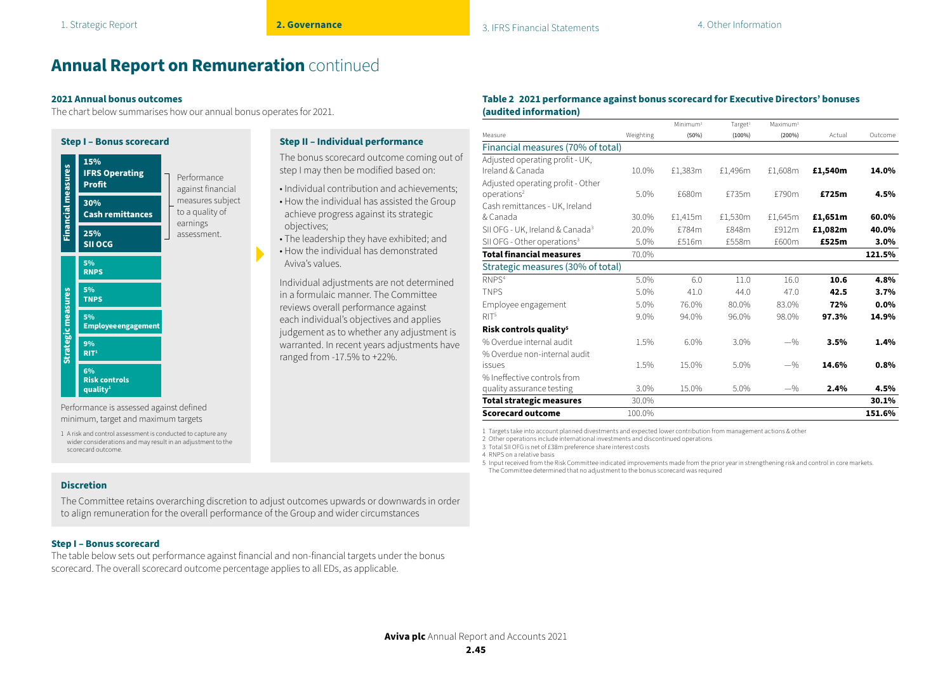objectives;

Aviva's values.

The bonus scorecard outcome coming out of step I may then be modified based on: • Individual contribution and achievements; • How the individual has assisted the Group achieve progress against its strategic

• The leadership they have exhibited; and • How the individual has demonstrated

Individual adjustments are not determined in a formulaic manner. The Committee reviews overall performance against each individual's objectives and applies judgement as to whether any adjustment is warranted. In recent years adjustments have

ranged from -17.5% to +22%.

## **Annual Report on Remuneration** continued

#### **2021 Annual bonus outcomes**

The chart below summarises how our annual bonus operates for 2021.



#### Performance is assessed against defined minimum, target and maximum targets

1 A risk and control assessment is conducted to capture any wider considerations and may result in an adjustment to the scorecard outcome.

#### **Discretion**

The Committee retains overarching discretion to adjust outcomes upwards or downwards in order to align remuneration for the overall performance of the Group and wider circumstances

#### **Step I – Bonus scorecard**

The table below sets out performance against financial and non-financial targets under the bonus scorecard. The overall scorecard outcome percentage applies to all EDs, as applicable.

#### **Table 2 2021 performance against bonus scorecard for Executive Directors' bonuses (audited information)**

|                                             |           | Minimum <sup>1</sup> | Target <sup>1</sup> | Maximum <sup>1</sup> |         |         |
|---------------------------------------------|-----------|----------------------|---------------------|----------------------|---------|---------|
| Measure                                     | Weighting | (50%)                | $(100\%)$           | (200%)               | Actual  | Outcome |
| Financial measures (70% of total)           |           |                      |                     |                      |         |         |
| Adjusted operating profit - UK,             |           |                      |                     |                      |         |         |
| Ireland & Canada                            | 10.0%     | £1,383m              | £1,496m             | £1,608m              | £1,540m | 14.0%   |
| Adjusted operating profit - Other           |           |                      |                     |                      |         |         |
| operations <sup>2</sup>                     | 5.0%      | £680m                | £735m               | £790m                | £725m   | 4.5%    |
| Cash remittances - UK, Ireland              |           |                      |                     |                      |         |         |
| & Canada                                    | 30.0%     | £1,415m              | £1,530m             | £1.645m              | £1,651m | 60.0%   |
| SII OFG - UK, Ireland & Canada <sup>3</sup> | 20.0%     | £784m                | £848m               | £912m                | £1,082m | 40.0%   |
| SII OFG - Other operations <sup>3</sup>     | 5.0%      | £516m                | £558m               | £600m                | £525m   | 3.0%    |
| <b>Total financial measures</b>             | 70.0%     |                      |                     |                      |         | 121.5%  |
| Strategic measures (30% of total)           |           |                      |                     |                      |         |         |
| RNPS <sup>4</sup>                           | 5.0%      | 6.0                  | 11.0                | 16.0                 | 10.6    | 4.8%    |
| <b>TNPS</b>                                 | 5.0%      | 41.0                 | 44.0                | 47.0                 | 42.5    | 3.7%    |
| Employee engagement                         | 5.0%      | 76.0%                | 80.0%               | 83.0%                | 72%     | 0.0%    |
| RIT <sup>5</sup>                            | 9.0%      | 94.0%                | 96.0%               | 98.0%                | 97.3%   | 14.9%   |
| Risk controls quality <sup>5</sup>          |           |                      |                     |                      |         |         |
| % Overdue internal audit                    | 1.5%      | 6.0%                 | 3.0%                | $-$ %                | 3.5%    | 1.4%    |
| % Overdue non-internal audit                |           |                      |                     |                      |         |         |
| issues                                      | 1.5%      | 15.0%                | 5.0%                | $-$ %                | 14.6%   | 0.8%    |
| % Ineffective controls from                 |           |                      |                     |                      |         |         |
| quality assurance testing                   | 3.0%      | 15.0%                | 5.0%                | $-$ %                | 2.4%    | 4.5%    |
| <b>Total strategic measures</b>             | 30.0%     |                      |                     |                      |         | 30.1%   |
| <b>Scorecard outcome</b>                    | 100.0%    |                      |                     |                      |         | 151.6%  |

1 Targets take into account planned divestments and expected lower contribution from management actions & other

2 Other operations include international investments and discontinued operations

3 Total SII OFG is net of £38m preference share interest costs

4 RNPS on a relative basis

5 Input received from the Risk Committee indicated improvements made from the prior year in strengthening risk and control in core markets. The Committee determined that no adjustment to the bonus scorecard was required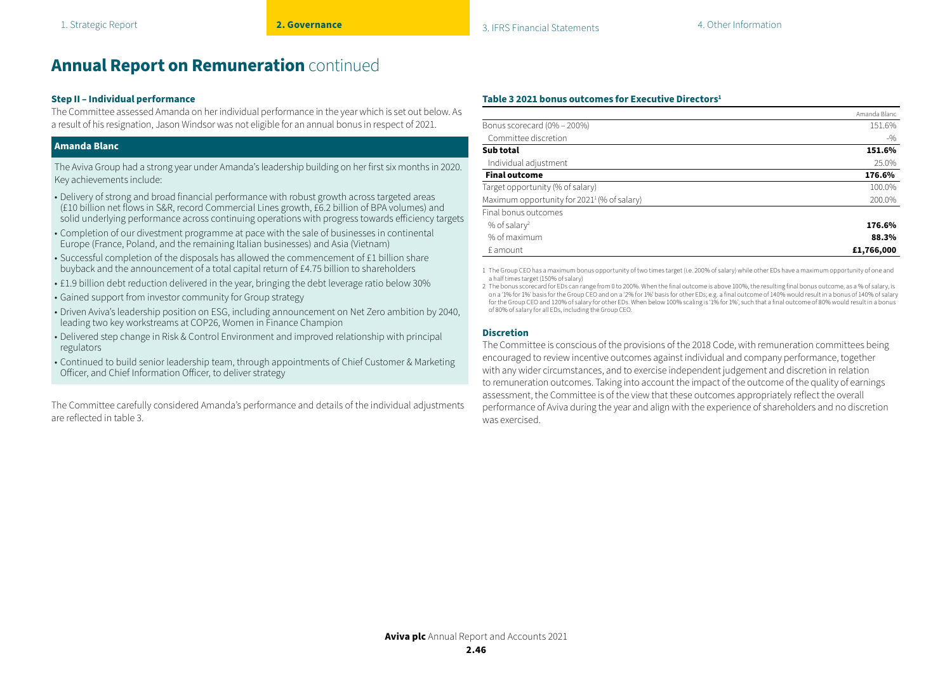#### **Step II – Individual performance**

The Committee assessed Amanda on her individual performance in the year which is set out below. As a result of his resignation, Jason Windsor was not eligible for an annual bonus in respect of 2021.

#### **Amanda Blanc**

The Aviva Group had a strong year under Amanda's leadership building on her first six months in 2020. Key achievements include:

- Delivery of strong and broad financial performance with robust growth across targeted areas (£10 billion net flows in S&R, record Commercial Lines growth, £6.2 billion of BPA volumes) and solid underlying performance across continuing operations with progress towards efficiency targets
- Completion of our divestment programme at pace with the sale of businesses in continental Europe (France, Poland, and the remaining Italian businesses) and Asia (Vietnam)
- Successful completion of the disposals has allowed the commencement of £1 billion share buyback and the announcement of a total capital return of £4.75 billion to shareholders
- £1.9 billion debt reduction delivered in the year, bringing the debt leverage ratio below 30%
- Gained support from investor community for Group strategy
- Driven Aviva's leadership position on ESG, including announcement on Net Zero ambition by 2040, leading two key workstreams at COP26, Women in Finance Champion
- Delivered step change in Risk & Control Environment and improved relationship with principal regulators
- Continued to build senior leadership team, through appointments of Chief Customer & Marketing Officer, and Chief Information Officer, to deliver strategy

The Committee carefully considered Amanda's performance and details of the individual adjustments are reflected in table 3.

#### **Table 3 2021 bonus outcomes for Executive Directors1**

|                                                         | Amanda Blanc |
|---------------------------------------------------------|--------------|
| Bonus scorecard (0% - 200%)                             | 151.6%       |
| Committee discretion                                    | $-9/0$       |
| Sub total                                               | 151.6%       |
| Individual adjustment                                   | 25.0%        |
| <b>Final outcome</b>                                    | 176.6%       |
| Target opportunity (% of salary)                        | 100.0%       |
| Maximum opportunity for 2021 <sup>1</sup> (% of salary) | 200.0%       |
| Final bonus outcomes                                    |              |
| % of salary <sup>2</sup>                                | 176.6%       |
| % of maximum                                            | 88.3%        |
| £ amount                                                | £1,766,000   |

1 The Group CEO has a maximum bonus opportunity of two times target (i.e. 200% of salary) while other EDs have a maximum opportunity of one and a half times target (150% of salary)

2 The bonus scorecard for EDs can range from 0 to 200%. When the final outcome is above 100%, the resulting final bonus outcome, as a % of salary, is on a '1% for 1%' basis for the Group CEO and on a '2% for 1%' basis for other EDs; e.g. a final outcome of 140% would result in a bonus of 140% of salary for the Group CEO and 120% of salary for other EDs. When below 100% scaling is '1% for 1%', such that a final outcome of 80% would result in a bonus of 80% of salary for all EDs, including the Group CEO.

#### **Discretion**

The Committee is conscious of the provisions of the 2018 Code, with remuneration committees being encouraged to review incentive outcomes against individual and company performance, together with any wider circumstances, and to exercise independent judgement and discretion in relation to remuneration outcomes. Taking into account the impact of the outcome of the quality of earnings assessment, the Committee is of the view that these outcomes appropriately reflect the overall performance of Aviva during the year and align with the experience of shareholders and no discretion was exercised.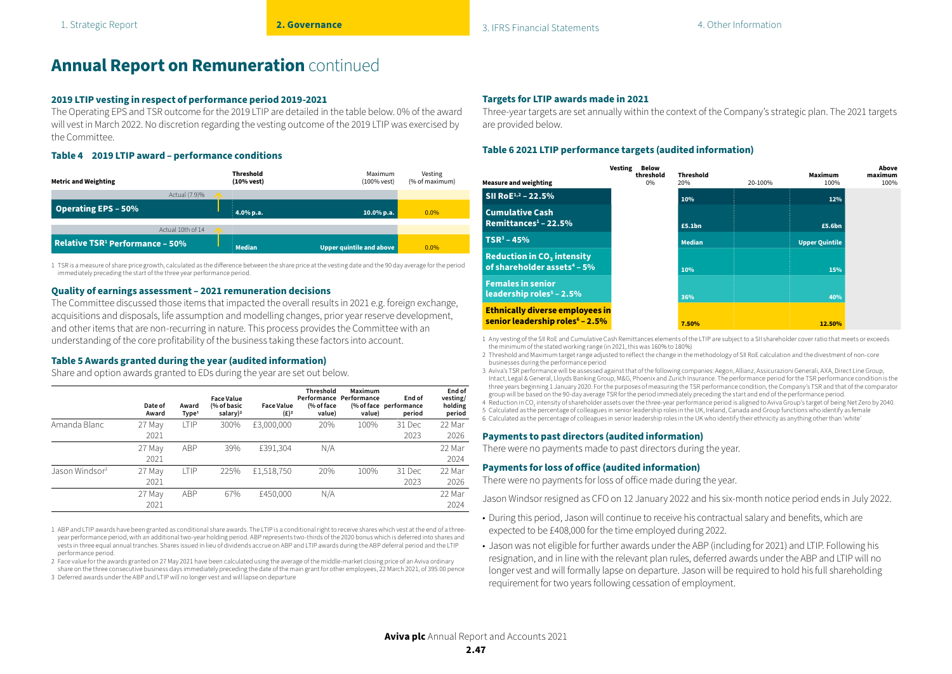#### **2019 LTIP vesting in respect of performance period 2019-2021**

The Operating EPS and TSR outcome for the 2019 LTIP are detailed in the table below. 0% of the award will vest in March 2022. No discretion regarding the vesting outcome of the 2019 LTIP was exercised by the Committee.

#### **Table 4 2019 LTIP award – performance conditions**

| <b>Metric and Weighting</b>                 | Threshold<br>(10% vest) | Maximum<br>(100% vest)   | Vesting<br>(% of maximum) |
|---------------------------------------------|-------------------------|--------------------------|---------------------------|
| Actual (7.9)%                               |                         |                          |                           |
| <b>Operating EPS - 50%</b>                  | 4.0% p.a.               | $10.0\%$ p.a.            | $0.0\%$                   |
| Actual 10th of 14                           |                         |                          |                           |
| Relative TSR <sup>1</sup> Performance – 50% | <b>Median</b>           | Upper quintile and above | $0.0\%$                   |

1 TSR is a measure of share price growth, calculated as the difference between the share price at the vesting date and the 90 day average for the period immediately preceding the start of the three year performance period.

#### **Quality of earnings assessment – 2021 remuneration decisions**

The Committee discussed those items that impacted the overall results in 2021 e.g. foreign exchange, acquisitions and disposals, life assumption and modelling changes, prior year reserve development, and other items that are non-recurring in nature. This process provides the Committee with an understanding of the core profitability of the business taking these factors into account.

#### **Table 5 Awards granted during the year (audited information)**

Share and option awards granted to EDs during the year are set out below.

|                            | Date of<br>Award | Award<br>Type <sup>1</sup> | <b>Face Value</b><br>(% of basic<br>salary) <sup>2</sup> | <b>Face Value</b><br>$(E)^2$ | Threshold<br>(% of face<br>value) | Maximum<br>Performance Performance<br>value) | End of<br>(% of face performance<br>period | End of<br>vesting/<br>holding<br>period |
|----------------------------|------------------|----------------------------|----------------------------------------------------------|------------------------------|-----------------------------------|----------------------------------------------|--------------------------------------------|-----------------------------------------|
| Amanda Blanc               | 27 May<br>2021   | <b>LTIP</b>                | 300%                                                     | £3,000,000                   | 20%                               | 100%                                         | 31 Dec<br>2023                             | 22 Mar<br>2026                          |
|                            | 27 May<br>2021   | <b>ABP</b>                 | 39%                                                      | £391,304                     | N/A                               |                                              |                                            | 22 Mar<br>2024                          |
| Jason Windsor <sup>3</sup> | 27 May<br>2021   | <b>LTIP</b>                | 225%                                                     | £1,518,750                   | 20%                               | 100%                                         | 31 Dec<br>2023                             | 22 Mar<br>2026                          |
|                            | 27 May<br>2021   | <b>ABP</b>                 | 67%                                                      | £450,000                     | N/A                               |                                              |                                            | 22 Mar<br>2024                          |

1 ABP and LTIP awards have been granted as conditional share awards. The LTIP is a conditional right to receive shares which vest at the end of a threeyear performance period, with an additional two-year holding period. ABP represents two-thirds of the 2020 bonus which is deferred into shares and vests in three equal annual tranches. Shares issued in lieu of dividends accrue on ABP and LTIP awards during the ABP deferral period and the LTIP performance period.

2 Face value for the awards granted on 27 May 2021 have been calculated using the average of the middle-market closing price of an Aviva ordinary share on the three consecutive business days immediately preceding the date of the main grant for other employees, 22 March 2021, of 395.00 pence

3 Deferred awards under the ABP and LTIP will no longer vest and will lapse on departure

#### **Targets for LTIP awards made in 2021**

Three-year targets are set annually within the context of the Company's strategic plan. The 2021 targets are provided below.

#### **Table 6 2021 LTIP performance targets (audited information)**

| <b>Measure and weighting</b>                                                          | Vesting<br>Below<br>threshold<br>0% | <b>Threshold</b><br>20% | 20-100% | <b>Maximum</b><br>100% | Above<br>maximum<br>100% |
|---------------------------------------------------------------------------------------|-------------------------------------|-------------------------|---------|------------------------|--------------------------|
| SII Ro $E^{1,2}$ – 22.5%                                                              |                                     | 10%                     |         | 12%                    |                          |
| <b>Cumulative Cash</b><br>Remittances $1 - 22.5\%$                                    |                                     | £5.1bn                  |         | £5.6bn                 |                          |
| $TSR^3 - 45%$                                                                         |                                     | <b>Median</b>           |         | <b>Upper Quintile</b>  |                          |
| <b>Reduction in CO<sub>2</sub></b> intensity<br>of shareholder assets $4 - 5\%$       |                                     | 10%                     |         | 15%                    |                          |
| <b>Females in senior</b><br>leadership roles $5 - 2.5\%$                              |                                     | 36%                     |         | 40%                    |                          |
| <b>Ethnically diverse employees in</b><br>senior leadership roles <sup>6</sup> - 2.5% |                                     | 7.50%                   |         | 12.50%                 |                          |

1 Any vesting of the SII RoE and Cumulative Cash Remittances elements of the LTIP are subject to a SII shareholder cover ratio that meets or exceeds the minimum of the stated working range (in 2021, this was 160% to 180%)

2 Threshold and Maximum target range adjusted to reflect the change in the methodology of SII RoE calculation and the divestment of non-core businesses during the performance period

3 Aviva's TSR performance will be assessed against that of the following companies: Aegon, Allianz, Assicurazioni Generali, AXA, Direct Line Group, Intact, Legal & General, Lloyds Banking Group, M&G, Phoenix and Zurich Insurance. The performance period for the TSR performance condition is the three years beginning 1 January 2020. For the purposes of measuring the TSR performance condition, the Company's TSR and that of the comparator group will be based on the 90-day average TSR for the period immediately preceding the start and end of the performance period.

 $4\,$  Reduction in CO $_2$  intensity of shareholder assets over the three-year performance period is aligned to Aviva Group's target of being Net Zero by 2040.

5 Calculated as the percentage of colleagues in senior leadership roles in the UK, Ireland, Canada and Group functions who identify as female

6 Calculated as the percentage of colleagues in senior leadership roles in the UK who identify their ethnicity as anything other than 'white'

#### **Payments to past directors (audited information)**

There were no payments made to past directors during the year.

#### **Payments for loss of office (audited information)**

There were no payments for loss of office made during the year.

Jason Windsor resigned as CFO on 12 January 2022 and his six-month notice period ends in July 2022.

- During this period, Jason will continue to receive his contractual salary and benefits, which are expected to be £408,000 for the time employed during 2022.
- Jason was not eligible for further awards under the ABP (including for 2021) and LTIP. Following his resignation, and in line with the relevant plan rules, deferred awards under the ABP and LTIP will no longer vest and will formally lapse on departure. Jason will be required to hold his full shareholding requirement for two years following cessation of employment.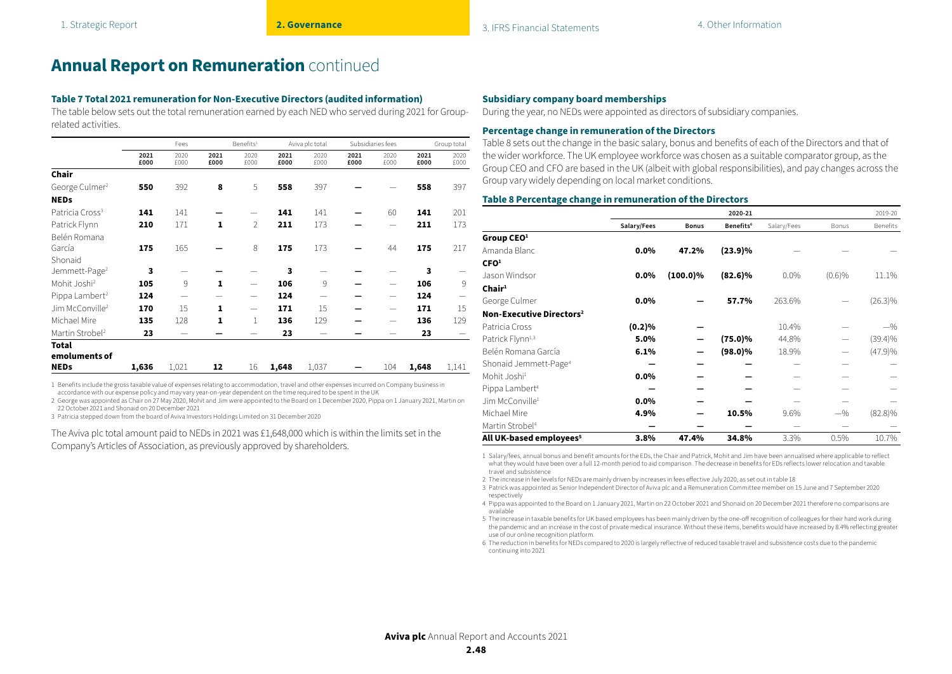#### **Table 7 Total 2021 remuneration for Non-Executive Directors (audited information)**

The table below sets out the total remuneration earned by each NED who served during 2021 for Grouprelated activities.

|                               |              | Fees                     |              | Benefits <sup>1</sup><br>Aviva plc total |              |              | Subsidiaries fees |                          | Group total  |              |
|-------------------------------|--------------|--------------------------|--------------|------------------------------------------|--------------|--------------|-------------------|--------------------------|--------------|--------------|
|                               | 2021<br>£000 | 2020<br>£000             | 2021<br>£000 | 2020<br>£000                             | 2021<br>£000 | 2020<br>£000 | 2021<br>£000      | 2020<br>£000             | 2021<br>£000 | 2020<br>£000 |
| Chair                         |              |                          |              |                                          |              |              |                   |                          |              |              |
| George Culmer <sup>2</sup>    | 550          | 392                      | 8            | 5                                        | 558          | 397          |                   |                          | 558          | 397          |
| <b>NEDs</b>                   |              |                          |              |                                          |              |              |                   |                          |              |              |
| Patricia Cross <sup>3</sup>   | 141          | 141                      |              |                                          | 141          | 141          |                   | 60                       | 141          | 201          |
| Patrick Flynn                 | 210          | 171                      | 1            | $\overline{2}$                           | 211          | 173          |                   |                          | 211          | 173          |
| Belén Romana                  |              |                          |              |                                          |              |              |                   |                          |              |              |
| García                        | 175          | 165                      |              | 8                                        | 175          | 173          |                   | 44                       | 175          | 217          |
| Shonaid                       |              |                          |              |                                          |              |              |                   |                          |              |              |
| Jemmett-Page <sup>2</sup>     | 3            |                          |              |                                          | 3            |              |                   |                          | 3            |              |
| Mohit Joshi <sup>2</sup>      | 105          | 9                        | 1            | $\overline{\phantom{0}}$                 | 106          | 9            |                   | $\overline{\phantom{0}}$ | 106          | 9            |
| Pippa Lambert <sup>2</sup>    | 124          | $\overline{\phantom{0}}$ |              |                                          | 124          |              |                   | $\qquad \qquad$          | 124          |              |
| Jim McConville <sup>2</sup>   | 170          | 15                       | 1            | $\hspace{0.05cm}$                        | 171          | 15           |                   | $\overline{\phantom{0}}$ | 171          | 15           |
| Michael Mire                  | 135          | 128                      | 1            | $\mathbf{1}$                             | 136          | 129          |                   |                          | 136          | 129          |
| Martin Strobel <sup>2</sup>   | 23           |                          |              |                                          | 23           |              |                   |                          | 23           |              |
| <b>Total</b><br>emoluments of |              |                          |              |                                          |              |              |                   |                          |              |              |
| <b>NEDs</b>                   | 1,636        | 1,021                    | 12           | 16                                       | 1,648        | 1,037        |                   | 104                      | 1,648        | 1,141        |

1 Benefits include the gross taxable value of expenses relating to accommodation, travel and other expenses incurred on Company business in

accordance with our expense policy and may vary year-on-year dependent on the time required to be spent in the UK 2 George was appointed as Chair on 27 May 2020, Mohit and Jim were appointed to the Board on 1 December 2020, Pippa on 1 January 2021, Martin on 22 October 2021 and Shonaid on 20 December 2021

3 Patricia stepped down from the board of Aviva Investors Holdings Limited on 31 December 2020

The Aviva plc total amount paid to NEDs in 2021 was £1,648,000 which is within the limits set in the Company's Articles of Association, as previously approved by shareholders.

#### **Subsidiary company board memberships**

During the year, no NEDs were appointed as directors of subsidiary companies.

#### **Percentage change in remuneration of the Directors**

Table 8 sets out the change in the basic salary, bonus and benefits of each of the Directors and that of the wider workforce. The UK employee workforce was chosen as a suitable comparator group, as the Group CEO and CFO are based in the UK (albeit with global responsibilities), and pay changes across the Group vary widely depending on local market conditions.

#### **Table 8 Percentage change in remuneration of the Directors**

|                                      |             |              | 2020-21               |             |        | 2019-20    |
|--------------------------------------|-------------|--------------|-----------------------|-------------|--------|------------|
|                                      | Salary/Fees | <b>Bonus</b> | Benefits <sup>6</sup> | Salary/Fees | Bonus  | Benefits   |
| Group CEO <sup>1</sup>               |             |              |                       |             |        |            |
| Amanda Blanc                         | 0.0%        | 47.2%        | $(23.9)\%$            |             |        |            |
| CFO <sup>1</sup>                     |             |              |                       |             |        |            |
| Jason Windsor                        | 0.0%        | $(100.0)\%$  | $(82.6)\%$            | 0.0%        | (0.6)% | 11.1%      |
| Chair <sup>1</sup>                   |             |              |                       |             |        |            |
| George Culmer                        | 0.0%        |              | 57.7%                 | 263.6%      |        | $(26.3)\%$ |
| Non-Executive Directors <sup>2</sup> |             |              |                       |             |        |            |
| Patricia Cross                       | (0.2)%      |              |                       | 10.4%       |        | $-$ %      |
| Patrick Flynn <sup>1,3</sup>         | 5.0%        |              | $(75.0)\%$            | 44.8%       |        | $(39.4)\%$ |
| Belén Romana García                  | 6.1%        |              | $(98.0)\%$            | 18.9%       |        | (47.9)%    |
| Shonaid Jemmett-Page <sup>4</sup>    |             |              |                       |             |        |            |
| Mohit Joshi <sup>1</sup>             | 0.0%        |              |                       |             |        |            |
| Pippa Lambert <sup>4</sup>           |             |              |                       |             |        |            |
| Jim McConville <sup>1</sup>          | 0.0%        |              |                       |             |        |            |
| Michael Mire                         | 4.9%        |              | 10.5%                 | 9.6%        | $-$ %  | $(82.8)\%$ |
| Martin Strobel <sup>4</sup>          |             |              |                       |             |        |            |
| All UK-based employees <sup>5</sup>  | 3.8%        | 47.4%        | 34.8%                 | 3.3%        | 0.5%   | 10.7%      |

1 Salary/fees, annual bonus and benefit amounts for the EDs, the Chair and Patrick, Mohit and Jim have been annualised where applicable to reflect what they would have been over a full 12-month period to aid comparison. The decrease in benefits for EDs reflects lower relocation and taxable travel and subsistence

2 The increase in fee levels for NEDs are mainly driven by increases in fees effective July 2020, as set out in table 18

3 Patrick was appointed as Senior Independent Director of Aviva plc and a Remuneration Committee member on 15 June and 7 September 2020 respectively

4 Pippa was appointed to the Board on 1 January 2021, Martin on 22 October 2021 and Shonaid on 20 December 2021 therefore no comparisons are available

5 The increase in taxable benefits for UK based employees has been mainly driven by the one-off recognition of colleagues for their hard work during the pandemic and an increase in the cost of private medical insurance. Without these items, benefits would have increased by 8.4% reflecting greater use of our online recognition platform.

6 The reduction in benefits for NEDs compared to 2020 is largely reflective of reduced taxable travel and subsistence costs due to the pandemic continuing into 2021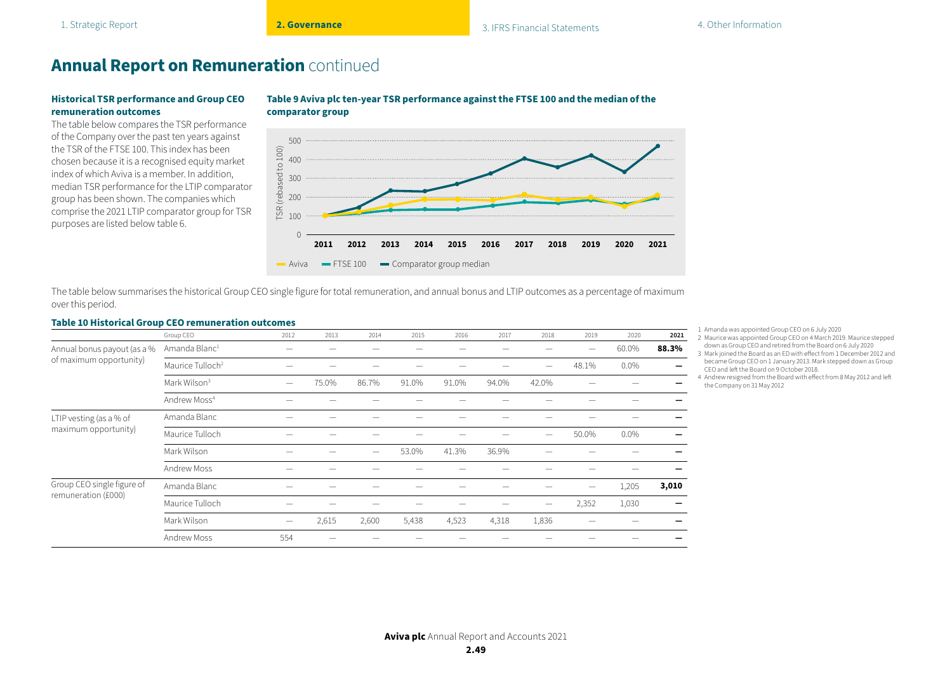#### **Historical TSR performance and Group CEO remuneration outcomes**

The table below compares the TSR performance of the Company over the past ten years against the TSR of the FTSE 100. This index has been chosen because it is a recognised equity market index of which Aviva is a member. In addition, median TSR performance for the LTIP comparator group has been shown. The companies which comprise the 2021 LTIP comparator group for TSR purposes are listed below table 6.



#### **Table 9 Aviva plc ten-year TSR performance against the FTSE 100 and the median of the comparator group**

The table below summarises the historical Group CEO single figure for total remuneration, and annual bonus and LTIP outcomes as a percentage of maximum over this period.

#### **Table 10 Historical Group CEO remuneration outcomes**

|                                                 | Group CEO                    | 2012              | 2013  | 2014                     | 2015  | 2016  | 2017  | 2018                     | 2019  | 2020    | 2021                     |
|-------------------------------------------------|------------------------------|-------------------|-------|--------------------------|-------|-------|-------|--------------------------|-------|---------|--------------------------|
| Annual bonus payout (as a %                     | Amanda Blanc <sup>1</sup>    |                   |       |                          |       |       |       |                          |       | 60.0%   | 88.3%                    |
| of maximum opportunity)                         | Maurice Tulloch <sup>2</sup> |                   |       |                          |       |       |       | $\overline{\phantom{0}}$ | 48.1% | $0.0\%$ | $\overline{\phantom{0}}$ |
|                                                 | Mark Wilson <sup>3</sup>     | $\hspace{0.05cm}$ | 75.0% | 86.7%                    | 91.0% | 91.0% | 94.0% | 42.0%                    |       |         |                          |
|                                                 | Andrew Moss <sup>4</sup>     |                   |       |                          |       |       |       |                          |       |         |                          |
| LTIP vesting (as a % of<br>maximum opportunity) | Amanda Blanc                 |                   |       |                          |       |       |       |                          |       |         |                          |
|                                                 | Maurice Tulloch              |                   |       |                          |       |       |       | $\overline{\phantom{0}}$ | 50.0% | 0.0%    |                          |
|                                                 | Mark Wilson                  |                   |       | $\overline{\phantom{0}}$ | 53.0% | 41.3% | 36.9% |                          |       |         |                          |
|                                                 | Andrew Moss                  |                   |       |                          |       |       |       |                          |       |         |                          |
| Group CEO single figure of                      | Amanda Blanc                 |                   |       |                          |       |       |       |                          |       | 1,205   | 3,010                    |
| remuneration (£000)                             | Maurice Tulloch              |                   |       |                          |       |       |       |                          | 2,352 | 1,030   |                          |
|                                                 | Mark Wilson                  | $\hspace{0.05cm}$ | 2,615 | 2,600                    | 5,438 | 4,523 | 4,318 | 1,836                    |       |         |                          |
|                                                 | Andrew Moss                  | 554               |       |                          |       |       |       |                          |       |         |                          |

1 Amanda was appointed Group CEO on 6 July 2020

- 2 Maurice was appointed Group CEO on 4 March 2019. Maurice stepped down as Group CEO and retired from the Board on 6 July 2020
- 3 Mark joined the Board as an ED with effect from 1 December 2012 and became Group CEO on 1 January 2013. Mark stepped down as Group CEO and left the Board on 9 October 2018.

4 Andrew resigned from the Board with effect from 8 May 2012 and left the Company on 31 May 2012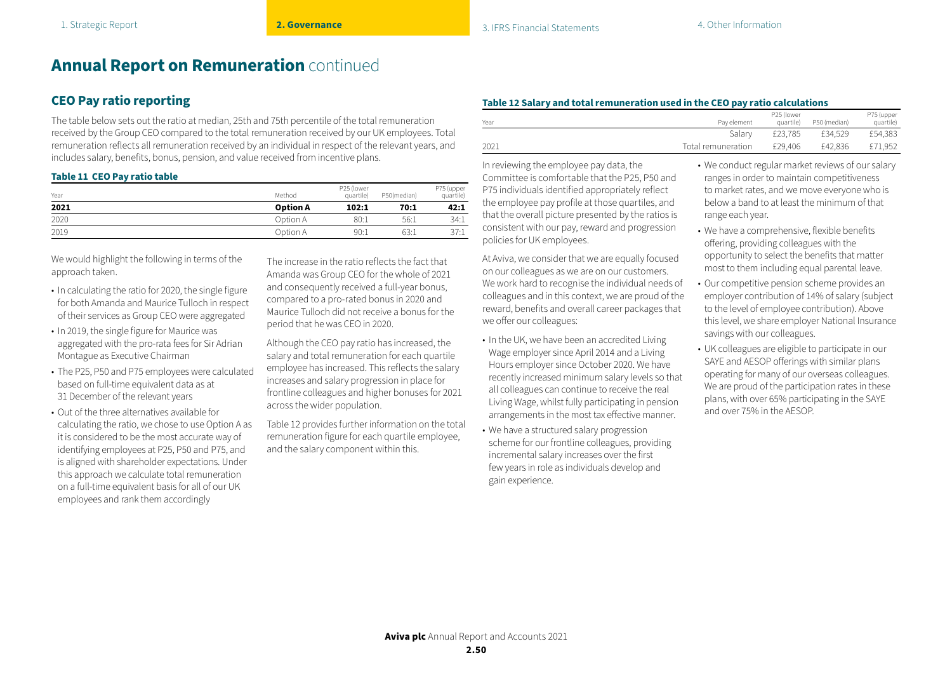## **CEO Pay ratio reporting**

The table below sets out the ratio at median, 25th and 75th percentile of the total remuneration received by the Group CEO compared to the total remuneration received by our UK employees. Total remuneration reflects all remuneration received by an individual in respect of the relevant years, and includes salary, benefits, bonus, pension, and value received from incentive plans.

#### **Table 11 CEO Pay ratio table**

| Year | Method          | P25 (lower<br>quartile)<br>P50(median) |      |      |  |  |
|------|-----------------|----------------------------------------|------|------|--|--|
| 2021 | <b>Option A</b> | 102:1                                  | 70:1 | 42:1 |  |  |
| 2020 | Option A        | 80:1                                   | 56:1 | 34:1 |  |  |
| 2019 | Option A        | 90:1                                   | 63:1 | 37:1 |  |  |

We would highlight the following in terms of the approach taken.

- In calculating the ratio for 2020, the single figure for both Amanda and Maurice Tulloch in respect of their services as Group CEO were aggregated
- In 2019, the single figure for Maurice was aggregated with the pro-rata fees for Sir Adrian Montague as Executive Chairman
- The P25, P50 and P75 employees were calculated based on full-time equivalent data as at 31 December of the relevant years
- Out of the three alternatives available for calculating the ratio, we chose to use Option A as it is considered to be the most accurate way of identifying employees at P25, P50 and P75, and is aligned with shareholder expectations. Under this approach we calculate total remuneration on a full-time equivalent basis for all of our UK employees and rank them accordingly

The increase in the ratio reflects the fact that Amanda was Group CEO for the whole of 2021 and consequently received a full-year bonus, compared to a pro-rated bonus in 2020 and Maurice Tulloch did not receive a bonus for the period that he was CEO in 2020.

Although the CEO pay ratio has increased, the salary and total remuneration for each quartile employee has increased. This reflects the salary increases and salary progression in place for frontline colleagues and higher bonuses for 2021 across the wider population.

Table 12 provides further information on the total remuneration figure for each quartile employee, and the salary component within this.

#### **Table 12 Salary and total remuneration used in the CEO pay ratio calculations**

| Year | Pay element        | P25 (lower<br>quartile) | P50 (median) | P75 (upper<br>quartile) |
|------|--------------------|-------------------------|--------------|-------------------------|
|      | Salarv             | £23.785                 | £34.529      | £54.383                 |
| 2021 | Total remuneration | £29.406                 | £42.836      | £71.952                 |

In reviewing the employee pay data, the Committee is comfortable that the P25, P50 and P75 individuals identified appropriately reflect the employee pay profile at those quartiles, and that the overall picture presented by the ratios is consistent with our pay, reward and progression policies for UK employees.

At Aviva, we consider that we are equally focused on our colleagues as we are on our customers. We work hard to recognise the individual needs of colleagues and in this context, we are proud of the reward, benefits and overall career packages that we offer our colleagues:

- In the UK, we have been an accredited Living Wage employer since April 2014 and a Living Hours employer since October 2020. We have recently increased minimum salary levels so that all colleagues can continue to receive the real Living Wage, whilst fully participating in pension arrangements in the most tax effective manner.
- We have a structured salary progression scheme for our frontline colleagues, providing incremental salary increases over the first few years in role as individuals develop and gain experience.
- We conduct regular market reviews of our salary ranges in order to maintain competitiveness to market rates, and we move everyone who is below a band to at least the minimum of that range each year.
- We have a comprehensive, flexible benefits offering, providing colleagues with the opportunity to select the benefits that matter most to them including equal parental leave.
- Our competitive pension scheme provides an employer contribution of 14% of salary (subject to the level of employee contribution). Above this level, we share employer National Insurance savings with our colleagues.
- UK colleagues are eligible to participate in our SAYE and AESOP offerings with similar plans operating for many of our overseas colleagues. We are proud of the participation rates in these plans, with over 65% participating in the SAYE and over 75% in the AESOP.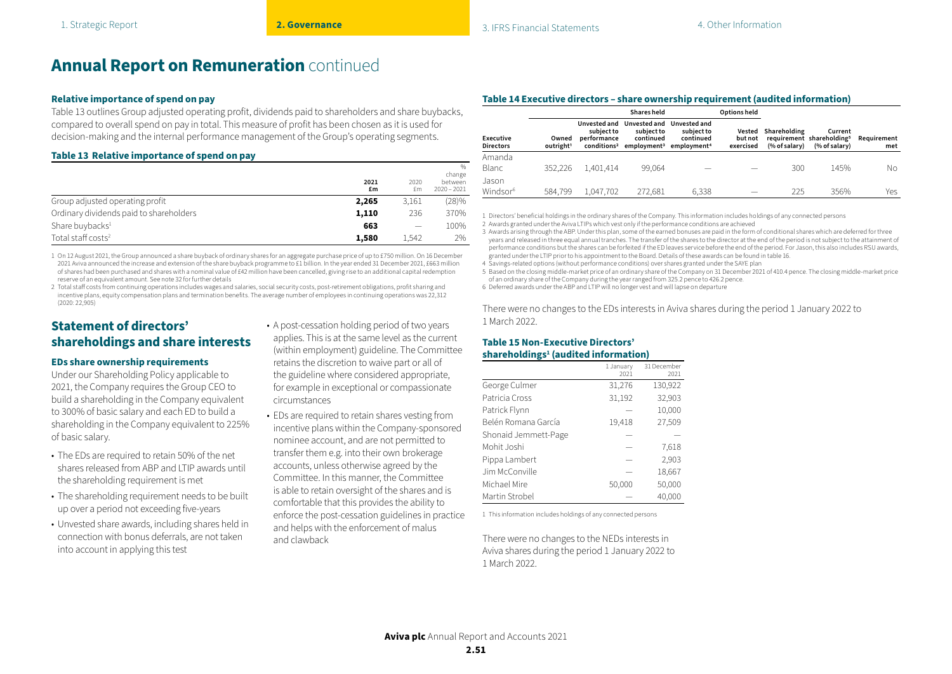#### **Relative importance of spend on pay**

Table 13 outlines Group adjusted operating profit, dividends paid to shareholders and share buybacks, compared to overall spend on pay in total. This measure of profit has been chosen as it is used for decision-making and the internal performance management of the Group's operating segments.

#### **Table 13 Relative importance of spend on pay**

|                                         |            |            | $\%$<br>change            |
|-----------------------------------------|------------|------------|---------------------------|
|                                         | 2021<br>£m | 2020<br>£m | hetween.<br>$2020 - 2021$ |
| Group adjusted operating profit         | 2,265      | 3,161      | (28)%                     |
| Ordinary dividends paid to shareholders | 1,110      | 236        | 370%                      |
| Share buybacks <sup>1</sup>             | 663        |            | 100%                      |
| Total staff $costs2$                    | 1,580      | 1.542      | 2%                        |

1 On 12 August 2021, the Group announced a share buyback of ordinary shares for an aggregate purchase price of up to £750 million. On 16 December 2021 Aviva announced the increase and extension of the share buyback programme to £1 billion. In the year ended 31 December 2021, £663 million of shares had been purchased and shares with a nominal value of £42 million have been cancelled, giving rise to an additional capital redemption reserve of an equivalent amount. See note 32 for further details

2 Total staff costs from continuing operations includes wages and salaries, social security costs, post-retirement obligations, profit sharing and incentive plans, equity compensation plans and termination benefits. The average number of employees in continuing operations was 22,312 (2020: 22,905)

## **Statement of directors' shareholdings and share interests**

#### **EDs share ownership requirements**

Under our Shareholding Policy applicable to 2021, the Company requires the Group CEO to build a shareholding in the Company equivalent to 300% of basic salary and each ED to build a shareholding in the Company equivalent to 225% of basic salary.

- The EDs are required to retain 50% of the net shares released from ABP and LTIP awards until the shareholding requirement is met
- The shareholding requirement needs to be built up over a period not exceeding five-years
- Unvested share awards, including shares held in connection with bonus deferrals, are not taken into account in applying this test
- A post-cessation holding period of two years applies. This is at the same level as the current (within employment) guideline. The Committee retains the discretion to waive part or all of the guideline where considered appropriate, for example in exceptional or compassionate circumstances
- EDs are required to retain shares vesting from incentive plans within the Company-sponsored nominee account, and are not permitted to transfer them e.g. into their own brokerage accounts, unless otherwise agreed by the Committee. In this manner, the Committee is able to retain oversight of the shares and is comfortable that this provides the ability to enforce the post-cessation guidelines in practice and helps with the enforcement of malus and clawback

|  | Table 14 Executive directors - share ownership requirement (audited information) |
|--|----------------------------------------------------------------------------------|
|  |                                                                                  |

|                                      |                                |                                                                      |                                                                                            | Options held                            |                      |                                      |                                                                   |                    |
|--------------------------------------|--------------------------------|----------------------------------------------------------------------|--------------------------------------------------------------------------------------------|-----------------------------------------|----------------------|--------------------------------------|-------------------------------------------------------------------|--------------------|
| <b>Executive</b><br><b>Directors</b> | Owned<br>outright <sup>1</sup> | Unvested and<br>subiect to<br>performance<br>conditions <sup>2</sup> | Unvested and<br>subiect to<br>continued<br>employment <sup>3</sup> employment <sup>4</sup> | Unvested and<br>subject to<br>continued | but not<br>exercised | Vested Shareholding<br>(% of salary) | Current<br>requirement shareholding <sup>5</sup><br>(% of salary) | Reauirement<br>met |
| Amanda<br>Blanc                      | 352.226                        | 1.401.414                                                            | 99.064                                                                                     |                                         |                      | 300                                  | 145%                                                              | Νo                 |
| Jason<br>Windsor <sup>6</sup>        | 584.799                        | 1,047,702                                                            | 272.681                                                                                    | 6.338                                   |                      | 225                                  | 356%                                                              | Yes                |

1 Directors' beneficial holdings in the ordinary shares of the Company. This information includes holdings of any connected persons

2 Awards granted under the Aviva LTIPs which vest only if the performance conditions are achieved

3 Awards arising through the ABP. Under this plan, some of the earned bonuses are paid in the form of conditional shares which are deferred for three years and released in three equal annual tranches. The transfer of the shares to the director at the end of the period is not subject to the attainment of performance conditions but the shares can be forfeited if the ED leaves service before the end of the period. For Jason, this also includes RSU awards, granted under the LTIP prior to his appointment to the Board. Details of these awards can be found in table 16.

4 Savings-related options (without performance conditions) over shares granted under the SAYE plan

5 Based on the closing middle-market price of an ordinary share of the Company on 31 December 2021 of 410.4 pence. The closing middle-market price of an ordinary share of the Company during the year ranged from 325.2 pence to 426.2 pence.

6 Deferred awards under the ABP and LTIP will no longer vest and will lapse on departure

There were no changes to the EDs interests in Aviva shares during the period 1 January 2022 to 1 March 2022.

#### **Table 15 Non-Executive Directors' shareholdings1 (audited information)**

|                      | 1 January<br>2021 | 31 December<br>2021 |
|----------------------|-------------------|---------------------|
| George Culmer        | 31,276            | 130,922             |
| Patricia Cross       | 31,192            | 32,903              |
| Patrick Flynn        |                   | 10,000              |
| Belén Romana García  | 19,418            | 27,509              |
| Shonaid Jemmett-Page |                   |                     |
| Mohit Joshi          |                   | 7,618               |
| Pippa Lambert        |                   | 2,903               |
| Jim McConville       |                   | 18,667              |
| Michael Mire         | 50,000            | 50,000              |
| Martin Strobel       |                   | 40.000              |

1 This information includes holdings of any connected persons

There were no changes to the NEDs interests in Aviva shares during the period 1 January 2022 to 1 March 2022.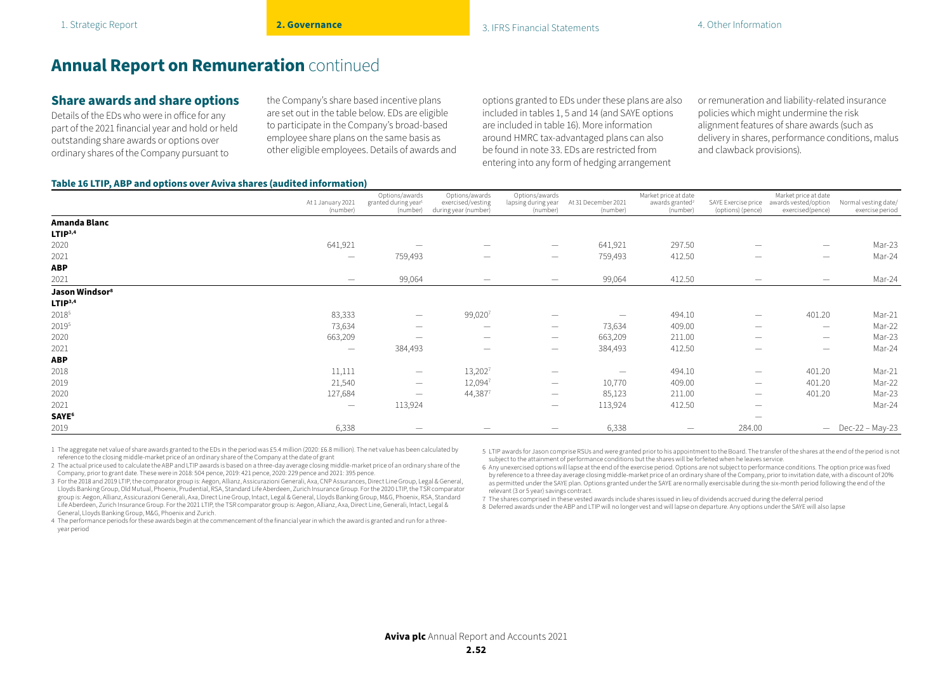## **Share awards and share options**

Details of the EDs who were in office for any part of the 2021 financial year and hold or held outstanding share awards or options over ordinary shares of the Company pursuant to

the Company's share based incentive plans are set out in the table below. EDs are eligible to participate in the Company's broad-based employee share plans on the same basis as other eligible employees. Details of awards and options granted to EDs under these plans are also included in tables 1, 5 and 14 (and SAYE options are included in table 16). More information around HMRC tax-advantaged plans can also be found in note 33. EDs are restricted from entering into any form of hedging arrangement

or remuneration and liability-related insurance policies which might undermine the risk alignment features of share awards (such as delivery in shares, performance conditions, malus and clawback provisions).

#### **Table 16 LTIP, ABP and options over Aviva shares (audited information)**

|                            |                                 | Options/awards                               | Options/awards                            | Options/awards                  |                                 | Market price at date                    |                                          | Market price at date                     |                                         |
|----------------------------|---------------------------------|----------------------------------------------|-------------------------------------------|---------------------------------|---------------------------------|-----------------------------------------|------------------------------------------|------------------------------------------|-----------------------------------------|
|                            | At 1 January 2021<br>(number)   | granted during year <sup>1</sup><br>(number) | exercised/vesting<br>during year (number) | lapsing during year<br>(number) | At 31 December 2021<br>(number) | awards granted <sup>2</sup><br>(number) | SAYE Exercise price<br>(options) (pence) | awards vested/option<br>exercised(pence) | Normal vesting date/<br>exercise period |
| Amanda Blanc               |                                 |                                              |                                           |                                 |                                 |                                         |                                          |                                          |                                         |
| LTIP <sup>3,4</sup>        |                                 |                                              |                                           |                                 |                                 |                                         |                                          |                                          |                                         |
| 2020                       | 641,921                         | $\hspace{0.1mm}-\hspace{0.1mm}$              | $\hspace{0.05cm}$                         | $\hspace{0.1mm}-\hspace{0.1mm}$ | 641,921                         | 297.50                                  |                                          | $\qquad \qquad$                          | Mar-23                                  |
| 2021                       | $\hspace{0.05cm}$               | 759,493                                      | $\overline{\phantom{m}}$                  | $\hspace{0.1mm}-\hspace{0.1mm}$ | 759,493                         | 412.50                                  | $\hspace{0.1mm}-\hspace{0.1mm}$          | $\hspace{0.1mm}-\hspace{0.1mm}$          | Mar-24                                  |
| <b>ABP</b>                 |                                 |                                              |                                           |                                 |                                 |                                         |                                          |                                          |                                         |
| 2021                       | $\overline{\phantom{m}}$        | 99,064                                       | $\overline{\phantom{a}}$                  | $\hspace{0.1mm}-\hspace{0.1mm}$ | 99,064                          | 412.50                                  | $\hspace{0.1mm}-\hspace{0.1mm}$          | $\hspace{0.1mm}-\hspace{0.1mm}$          | Mar-24                                  |
| Jason Windsor <sup>8</sup> |                                 |                                              |                                           |                                 |                                 |                                         |                                          |                                          |                                         |
| LTIP <sup>3,4</sup>        |                                 |                                              |                                           |                                 |                                 |                                         |                                          |                                          |                                         |
| 20185                      | 83,333                          | $\hspace{0.1mm}-\hspace{0.1mm}$              | 99,0207                                   | -                               |                                 | 494.10                                  | $\hspace{0.1mm}-\hspace{0.1mm}$          | 401.20                                   | Mar-21                                  |
| 20195                      | 73,634                          | $\hspace{0.1mm}-\hspace{0.1mm}$              | $\hspace{0.1mm}-\hspace{0.1mm}$           | $\hspace{0.1mm}-\hspace{0.1mm}$ | 73,634                          | 409.00                                  | $\hspace{0.1mm}-\hspace{0.1mm}$          | $\hspace{0.1mm}-\hspace{0.1mm}$          | Mar-22                                  |
| 2020                       | 663,209                         | $\hspace{0.1mm}-\hspace{0.1mm}$              | $\overline{\phantom{a}}$                  | $\hspace{0.1mm}-\hspace{0.1mm}$ | 663,209                         | 211.00                                  | $\hspace{0.1mm}-\hspace{0.1mm}$          | $\overline{\phantom{m}}$                 | Mar-23                                  |
| 2021                       | $\hspace{0.1mm}-\hspace{0.1mm}$ | 384,493                                      |                                           | $\overline{\phantom{a}}$        | 384,493                         | 412.50                                  |                                          | $\overline{\phantom{a}}$                 | Mar-24                                  |
| <b>ABP</b>                 |                                 |                                              |                                           |                                 |                                 |                                         |                                          |                                          |                                         |
| 2018                       | 11,111                          | $\hspace{0.1mm}-\hspace{0.1mm}$              | 13,2027                                   | -                               | $\hspace{0.1mm}-\hspace{0.1mm}$ | 494.10                                  | $\hspace{0.1mm}-\hspace{0.1mm}$          | 401.20                                   | Mar-21                                  |
| 2019                       | 21,540                          | $\hspace{0.1mm}-\hspace{0.1mm}$              | 12,0947                                   | $\hspace{0.1mm}-\hspace{0.1mm}$ | 10,770                          | 409.00                                  | $\hspace{0.1mm}-\hspace{0.1mm}$          | 401.20                                   | Mar-22                                  |
| 2020                       | 127,684                         | $\hspace{0.1mm}-\hspace{0.1mm}$              | 44,3877                                   | $\hspace{0.1mm}-\hspace{0.1mm}$ | 85,123                          | 211.00                                  | $\hspace{0.1mm}-\hspace{0.1mm}$          | 401.20                                   | Mar-23                                  |
| 2021                       | $\hspace{0.1mm}-\hspace{0.1mm}$ | 113,924                                      |                                           | $\overline{\phantom{0}}$        | 113,924                         | 412.50                                  | $\hspace{0.1mm}-\hspace{0.1mm}$          |                                          | Mar-24                                  |
| SAYE <sup>6</sup>          |                                 |                                              |                                           |                                 |                                 |                                         | $\hspace{0.1mm}-\hspace{0.1mm}$          |                                          |                                         |
| 2019                       | 6,338                           |                                              |                                           | $\overline{\phantom{0}}$        | 6,338                           | $\overline{\phantom{a}}$                | 284.00                                   |                                          | $-$ Dec-22 - May-23                     |

1 The aggregate net value of share awards granted to the EDs in the period was £5.4 million (2020: £6.8 million). The net value has been calculated by reference to the closing middle-market price of an ordinary share of the Company at the date of grant

5 LTIP awards for Jason comprise RSUs and were granted prior to his appointment to the Board. The transfer of the shares at the end of the period is not subject to the attainment of performance conditions but the shares will be forfeited when he leaves service.

2 The actual price used to calculate the ABP and LTIP awards is based on a three-day average closing middle-market price of an ordinary share of the Company, prior to grant date. These were in 2018: 504 pence, 2019: 421 pence, 2020: 229 pence and 2021: 395 pence.

3 For the 2018 and 2019 LTIP, the comparator group is: Aegon, Allianz, Assicurazioni Generali, Axa, CNP Assurances, Direct Line Group, Legal & General, Lloyds Banking Group, Old Mutual, Phoenix, Prudential, RSA, Standard Life Aberdeen, Zurich Insurance Group. For the 2020 LTIP, the TSR comparator group is: Aegon, Allianz, Assicurazioni Generali, Axa, Direct Line Group, Intact, Legal & General, Lloyds Banking Group, M&G, Phoenix, RSA, Standard Life Aberdeen, Zurich Insurance Group. For the 2021 LTIP, the TSR comparator group is: Aegon, Allianz, Axa, Direct Line, Generali, Intact, Legal & General, Lloyds Banking Group, M&G, Phoenix and Zurich.

4 The performance periods for these awards begin at the commencement of the financial year in which the award is granted and run for a threeyear period

6 Any unexercised options will lapse at the end of the exercise period. Options are not subject to performance conditions. The option price was fixed by reference to a three day average closing middle-market price of an ordinary share of the Company, prior to invitation date, with a discount of 20% as permitted under the SAYE plan. Options granted under the SAYE are normally exercisable during the six-month period following the end of the relevant (3 or 5 year) savings contract.

7 The shares comprised in these vested awards include shares issued in lieu of dividends accrued during the deferral period

8 Deferred awards under the ABP and LTIP will no longer vest and will lapse on departure. Any options under the SAYE will also lapse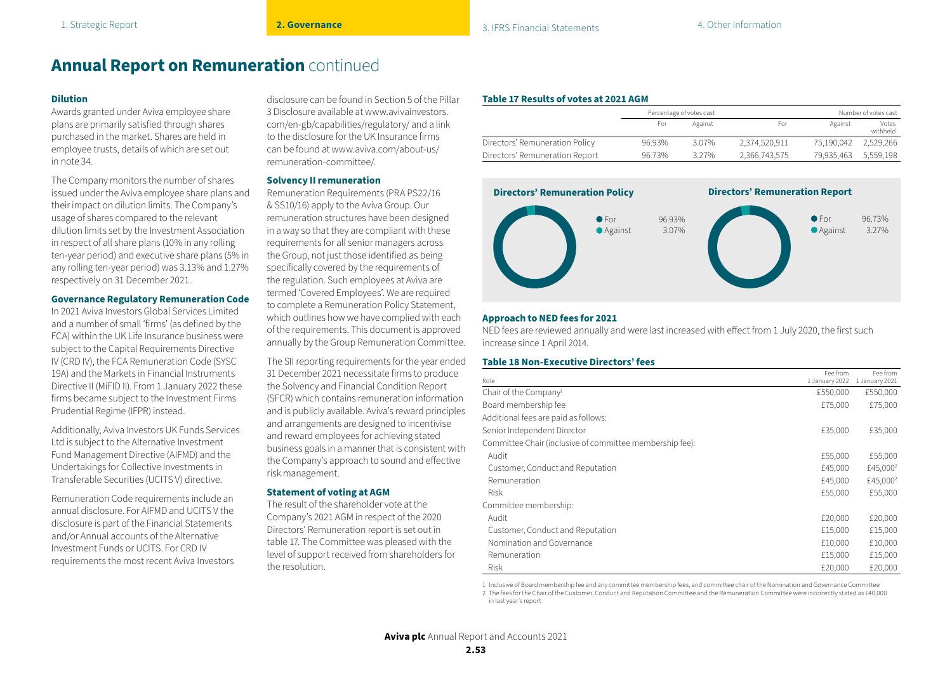#### **Dilution**

Awards granted under Aviva employee share plans are primarily satisfied through shares purchased in the market. Shares are held in employee trusts, details of which are set out in note 34.

The Company monitors the number of shares issued under the Aviva employee share plans and their impact on dilution limits. The Company's usage of shares compared to the relevant dilution limits set by the Investment Association in respect of all share plans (10% in any rolling ten-year period) and executive share plans (5% in any rolling ten-year period) was 3.13% and 1.27% respectively on 31 December 2021.

#### **Governance Regulatory Remuneration Code**

In 2021 Aviva Investors Global Services Limited and a number of small 'firms' (as defined by the FCA) within the UK Life Insurance business were subject to the Capital Requirements Directive IV (CRD IV), the FCA Remuneration Code (SYSC 19A) and the Markets in Financial Instruments Directive II (MiFID II). From 1 January 2022 these firms became subject to the Investment Firms Prudential Regime (IFPR) instead.

Additionally, Aviva Investors UK Funds Services Ltd is subject to the Alternative Investment Fund Management Directive (AIFMD) and the Undertakings for Collective Investments in Transferable Securities (UCITS V) directive.

Remuneration Code requirements include an annual disclosure. For AIFMD and UCITS V the disclosure is part of the Financial Statements and/or Annual accounts of the Alternative Investment Funds or UCITS. For CRD IV requirements the most recent Aviva Investors disclosure can be found in Section 5 of the Pillar 3 Disclosure available at www.avivainvestors. com/en-gb/capabilities/regulatory/ and a link to the disclosure for the UK Insurance firms can be found at www.aviva.com/about-us/ remuneration-committee/.

#### **Solvency II remuneration**

Remuneration Requirements (PRA PS22/16 & SS10/16) apply to the Aviva Group. Our remuneration structures have been designed in a way so that they are compliant with these requirements for all senior managers across the Group, not just those identified as being specifically covered by the requirements of the regulation. Such employees at Aviva are termed 'Covered Employees'. We are required to complete a Remuneration Policy Statement, which outlines how we have complied with each of the requirements. This document is approved annually by the Group Remuneration Committee.

The SII reporting requirements for the year ended 31 December 2021 necessitate firms to produce the Solvency and Financial Condition Report (SFCR) which contains remuneration information and is publicly available. Aviva's reward principles and arrangements are designed to incentivise and reward employees for achieving stated business goals in a manner that is consistent with the Company's approach to sound and effective risk management.

#### **Statement of voting at AGM**

The result of the shareholder vote at the Company's 2021 AGM in respect of the 2020 Directors' Remuneration report is set out in table 17. The Committee was pleased with the level of support received from shareholders for the resolution.

#### **Table 17 Results of votes at 2021 AGM**

|                                |        | Percentage of votes cast |               | Number of votes cast |                   |
|--------------------------------|--------|--------------------------|---------------|----------------------|-------------------|
|                                | For    | Against                  | For           | Against              | Votes<br>withheld |
| Directors' Remuneration Policy | 96.93% | 3.07%                    | 2.374.520.911 | 75.190.042           | 2.529.266         |
| Directors' Remuneration Report | 96.73% | 3.27%                    | 2.366.743.575 | 79,935,463 5,559,198 |                   |



#### **Approach to NED fees for 2021**

NED fees are reviewed annually and were last increased with effect from 1 July 2020, the first such increase since 1 April 2014.

#### **Table 18 Non-Executive Directors' fees**

| Role                                                     | Fee from<br>1 January 2022 | Fee from<br>1 January 2021 |
|----------------------------------------------------------|----------------------------|----------------------------|
| Chair of the Company <sup>1</sup>                        | £550,000                   | £550,000                   |
| Board membership fee                                     | £75,000                    | £75,000                    |
| Additional fees are paid as follows:                     |                            |                            |
| Senior Independent Director                              | £35,000                    | £35,000                    |
| Committee Chair (inclusive of committee membership fee): |                            |                            |
| Audit                                                    | £55,000                    | £55,000                    |
| Customer, Conduct and Reputation                         | £45,000                    | £45,000 <sup>2</sup>       |
| Remuneration                                             | £45,000                    | £45,000 <sup>2</sup>       |
| <b>Risk</b>                                              | £55,000                    | £55,000                    |
| Committee membership:                                    |                            |                            |
| Audit                                                    | £20,000                    | £20,000                    |
| Customer, Conduct and Reputation                         | £15,000                    | £15,000                    |
| Nomination and Governance                                | £10,000                    | £10,000                    |
| Remuneration                                             | £15,000                    | £15,000                    |
| <b>Risk</b>                                              | £20,000                    | £20,000                    |

1 Inclusive of Board membership fee and any committee membership fees, and committee chair of the Nomination and Governance Committee

2 The fees for the Chair of the Customer, Conduct and Reputation Committee and the Remuneration Committee were incorrectly stated as £40,000 in last year's report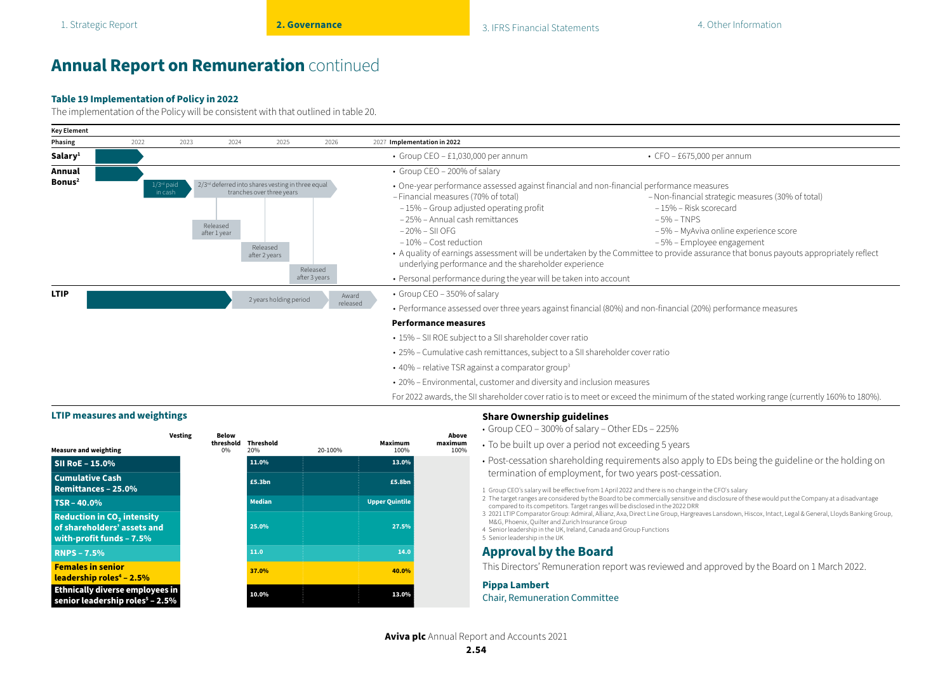#### **Table 19 Implementation of Policy in 2022**

The implementation of the Policy will be consistent with that outlined in table 20.



- 25% Cumulative cash remittances, subject to a SII shareholder cover ratio
- 40% relative TSR against a comparator group<sup>3</sup>
- 20% Environmental, customer and diversity and inclusion measures

For 2022 awards, the SII shareholder cover ratio is to meet or exceed the minimum of the stated working range (currently 160% to 180%).

### **LTIP measures and weightings Share Ownership guidelines**

| <b>Measure and weighting</b>                                                                            | <b>Vesting</b> | Below<br>threshold<br>$0\%$ | <b>Threshold</b><br>20% | 20-100% | Maximum<br>100%       | Above<br>maximum<br>100% |
|---------------------------------------------------------------------------------------------------------|----------------|-----------------------------|-------------------------|---------|-----------------------|--------------------------|
| SII RoE - 15.0%                                                                                         |                |                             | 11.0%                   |         | 13.0%                 |                          |
| <b>Cumulative Cash</b><br><b>Remittances - 25.0%</b>                                                    |                |                             | £5.3bn                  |         | £5.8bn                |                          |
| $TSR - 40.0%$                                                                                           |                |                             | <b>Median</b>           |         | <b>Upper Quintile</b> |                          |
| <b>Reduction in CO<sub>2</sub></b> intensity<br>of shareholders' assets and<br>with-profit funds - 7.5% |                |                             | 25.0%                   |         | 27.5%                 |                          |
| <b>RNPS - 7.5%</b>                                                                                      |                |                             | 11.0                    |         | 14.0                  |                          |
| <b>Females in senior</b><br>leadership roles <sup>4</sup> - 2.5%                                        |                |                             | 37.0%                   |         | 40.0%                 |                          |
| Ethnically diverse employees in<br>senior leadership roles <sup>5</sup> - 2.5%                          |                |                             | 10.0%                   |         | 13.0%                 |                          |

- Group CEO 300% of salary Other EDs 225%
- To be built up over a period not exceeding 5 years
- Post-cessation shareholding requirements also apply to EDs being the guideline or the holding on termination of employment, for two years post-cessation.
- 1 Group CEO's salary will be effective from 1 April 2022 and there is no change in the CFO's salary
- 2 The target ranges are considered by the Board to be commercially sensitive and disclosure of these would put the Company at a disadvantage compared to its competitors. Target ranges will be disclosed in the 2022 DRR
- 3 2021 LTIP Comparator Group: Admiral, Allianz, Axa, Direct Line Group, Hargreaves Lansdown, Hiscox, Intact, Legal & General, Lloyds Banking Group, M&G, Phoenix, Quilter and Zurich Insurance Group
- 4 Senior leadership in the UK, Ireland, Canada and Group Functions

## 5 Senior leadership in the UK

### **Approval by the Board**

This Directors' Remuneration report was reviewed and approved by the Board on 1 March 2022.

#### **Pippa Lambert**

#### Chair, Remuneration Committee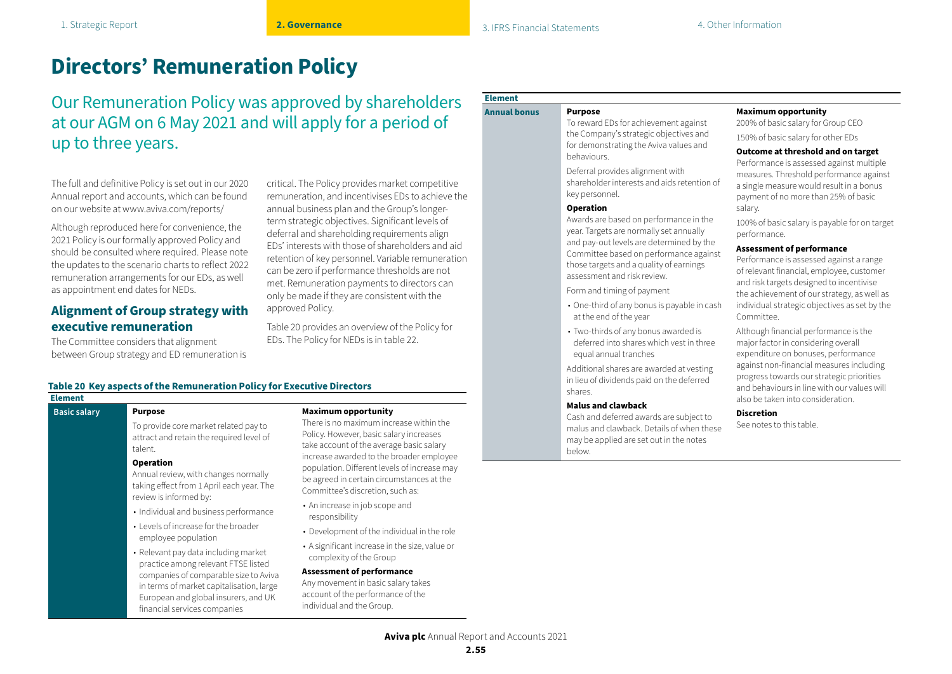## **Directors' Remuneration Policy**

Our Remuneration Policy was approved by shareholders at our AGM on 6 May 2021 and will apply for a period of up to three years.

The full and definitive Policy is set out in our 2020 Annual report and accounts, which can be found on our website at www.aviva.com/reports/

Although reproduced here for convenience, the 2021 Policy is our formally approved Policy and should be consulted where required. Please note the updates to the scenario charts to reflect 2022 remuneration arrangements for our EDs, as well as appointment end dates for NEDs.

### **Alignment of Group strategy with executive remuneration**

The Committee considers that alignment between Group strategy and ED remuneration is critical. The Policy provides market competitive remuneration, and incentivises EDs to achieve the annual business plan and the Group's longerterm strategic objectives. Significant levels of deferral and shareholding requirements align EDs' interests with those of shareholders and aid retention of key personnel. Variable remuneration can be zero if performance thresholds are not met. Remuneration payments to directors can only be made if they are consistent with the approved Policy.

Table 20 provides an overview of the Policy for EDs. The Policy for NEDs is in table 22.

#### **Table 20 Key aspects of the Remuneration Policy for Executive Directors**

#### **Element**

#### **Basic salary Purpose**

To provide core market related pay to attract and retain the required level of talent.

#### **Operation**

Annual review, with changes normally taking effect from 1 April each year. The review is informed by:

- Individual and business performance
- Levels of increase for the broader employee population
- Relevant pay data including market practice among relevant FTSE listed companies of comparable size to Aviva in terms of market capitalisation, large European and global insurers, and UK financial services companies

#### **Maximum opportunity**

There is no maximum increase within the Policy. However, basic salary increases take account of the average basic salary increase awarded to the broader employee population. Different levels of increase may be agreed in certain circumstances at the Committee's discretion, such as:

- An increase in job scope and responsibility
- Development of the individual in the role
- A significant increase in the size, value or complexity of the Group

#### **Assessment of performance**

Any movement in basic salary takes account of the performance of the individual and the Group.

## **Element**

#### **Annual bonus Purpose**

To reward EDs for achievement against the Company's strategic objectives and for demonstrating the Aviva values and behaviours.

Deferral provides alignment with shareholder interests and aids retention of key personnel.

#### **Operation**

Awards are based on performance in the year. Targets are normally set annually and pay-out levels are determined by the Committee based on performance against those targets and a quality of earnings assessment and risk review.

Form and timing of payment

- One-third of any bonus is payable in cash at the end of the year
- Two-thirds of any bonus awarded is deferred into shares which vest in three equal annual tranches

Additional shares are awarded at vesting in lieu of dividends paid on the deferred shares.

#### **Malus and clawback**

Cash and deferred awards are subject to malus and clawback. Details of when these may be applied are set out in the notes below.

#### **Maximum opportunity**

200% of basic salary for Group CEO

#### 150% of basic salary for other EDs **Outcome at threshold and on target**

Performance is assessed against multiple measures. Threshold performance against a single measure would result in a bonus payment of no more than 25% of basic salary.

100% of basic salary is payable for on target performance.

#### **Assessment of performance**

Performance is assessed against a range of relevant financial, employee, customer and risk targets designed to incentivise the achievement of our strategy, as well as individual strategic objectives as set by the Committee.

Although financial performance is the major factor in considering overall expenditure on bonuses, performance against non-financial measures including progress towards our strategic priorities and behaviours in line with our values will also be taken into consideration.

#### **Discretion**

See notes to this table.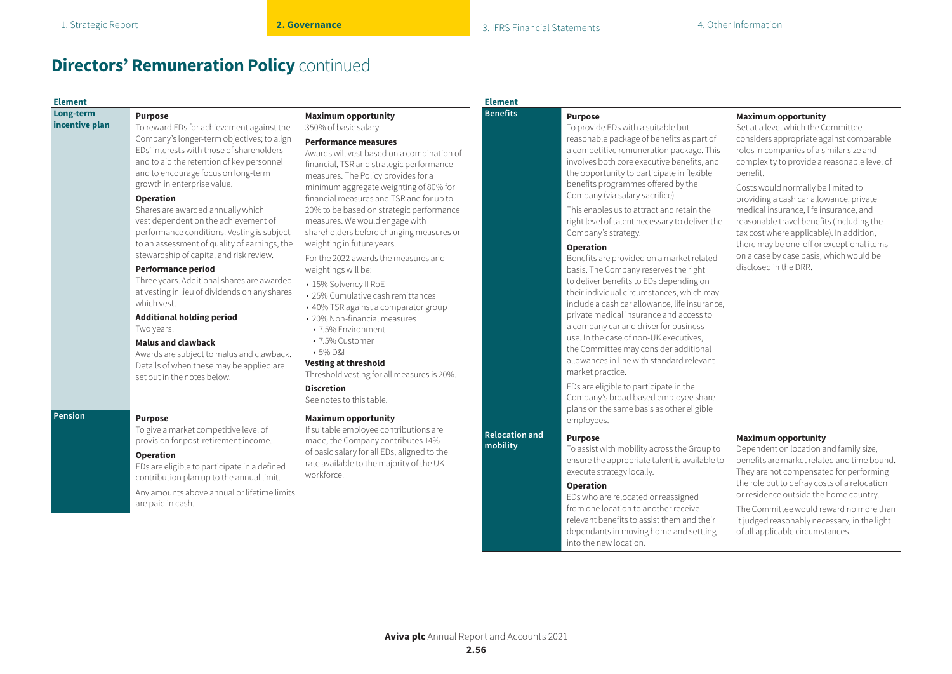#### **Element**

#### **Long-term incentive plan**

**Purpose** To reward EDs for achievement against the

Company's longer-term objectives; to align EDs' interests with those of shareholders and to aid the retention of key personnel and to encourage focus on long-term growth in enterprise value.

#### **Operation**

Shares are awarded annually which vest dependent on the achievement of performance conditions. Vesting is subject to an assessment of quality of earnings, the stewardship of capital and risk review.

#### **Performance period**

Three years. Additional shares are awarded at vesting in lieu of dividends on any shares which vest.

#### **Additional holding period**

Two years.

#### **Malus and clawback**

Awards are subject to malus and clawback. Details of when these may be applied are set out in the notes below.

#### **Pension Purpose**

To give a market competitive level of provision for post-retirement income.

#### **Operation**

EDs are eligible to participate in a defined contribution plan up to the annual limit.

Any amounts above annual or lifetime limits are paid in cash.

#### **Maximum opportunity**

350% of basic salary.

#### **Performance measures**

Awards will vest based on a combination of financial, TSR and strategic performance measures. The Policy provides for a minimum aggregate weighting of 80% for financial measures and TSR and for up to 20% to be based on strategic performance measures. We would engage with shareholders before changing measures or weighting in future years.

For the 2022 awards the measures and weightings will be:

- 15% Solvency II RoE
- 25% Cumulative cash remittances
- 40% TSR against a comparator group
- 20% Non-financial measures
- 7.5% Environment
- 7.5% Customer

### • 5% D&I

**Vesting at threshold**

Threshold vesting for all measures is 20%.

#### **Discretion**

See notes to this table.

#### **Maximum opportunity**

If suitable employee contributions are made, the Company contributes 14% of basic salary for all EDs, aligned to the rate available to the majority of the UK workforce.

## **Element**

### **Benefits Purpose**

To provide EDs with a suitable but reasonable package of benefits as part of a competitive remuneration package. This involves both core executive benefits, and the opportunity to participate in flexible benefits programmes offered by the Company (via salary sacrifice).

This enables us to attract and retain the right level of talent necessary to deliver the Company's strategy.

#### **Operation**

Benefits are provided on a market related basis. The Company reserves the right to deliver benefits to EDs depending on their individual circumstances, which may include a cash car allowance, life insurance, private medical insurance and access to a company car and driver for business use. In the case of non-UK executives, the Committee may consider additional allowances in line with standard relevant market practice.

EDs are eligible to participate in the Company's broad based employee share plans on the same basis as other eligible employees.

#### **Relocation and Purpose**

To assist with mobility across the Group to ensure the appropriate talent is available to execute strategy locally.

#### **Operation**

EDs who are relocated or reassigned from one location to another receive relevant benefits to assist them and their dependants in moving home and settling into the new location.

#### **Maximum opportunity**

Set at a level which the Committee considers appropriate against comparable roles in companies of a similar size and complexity to provide a reasonable level of benefit.

Costs would normally be limited to providing a cash car allowance, private medical insurance, life insurance, and reasonable travel benefits (including the tax cost where applicable). In addition, there may be one-off or exceptional items on a case by case basis, which would be disclosed in the DRR.

#### **Maximum opportunity**

Dependent on location and family size, benefits are market related and time bound. They are not compensated for performing the role but to defray costs of a relocation or residence outside the home country.

The Committee would reward no more than it judged reasonably necessary, in the light of all applicable circumstances.

**mobility**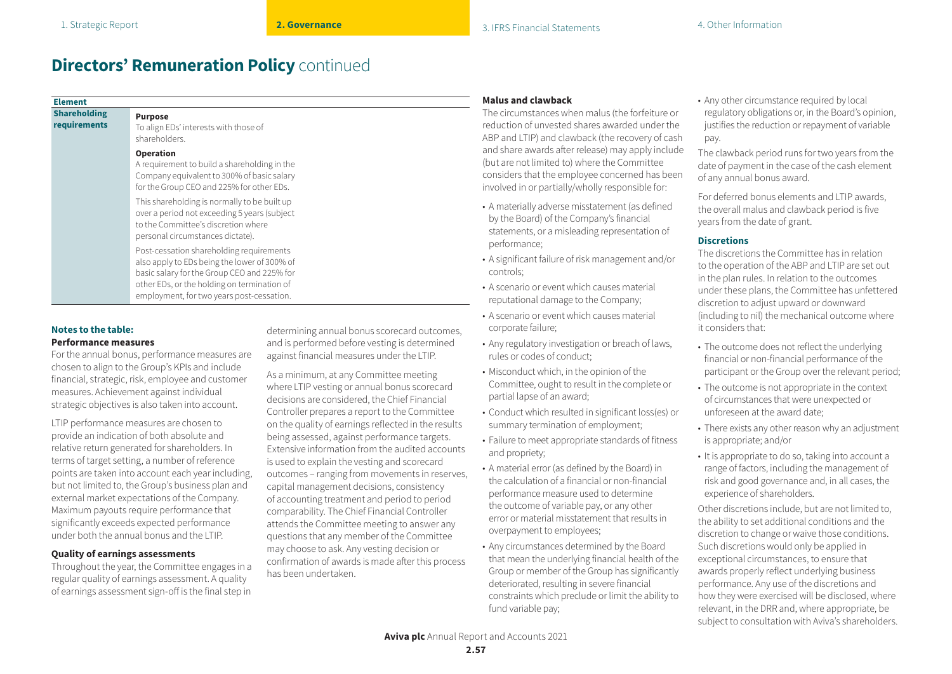| <b>Shareholding</b> | <b>Purpose</b>                                                                                                                                                                                                                      |  |
|---------------------|-------------------------------------------------------------------------------------------------------------------------------------------------------------------------------------------------------------------------------------|--|
| requirements        | To align EDs' interests with those of<br>shareholders.                                                                                                                                                                              |  |
|                     | <b>Operation</b><br>A requirement to build a shareholding in the<br>Company equivalent to 300% of basic salary<br>for the Group CEO and 225% for other EDs.                                                                         |  |
|                     | This shareholding is normally to be built up<br>over a period not exceeding 5 years (subject<br>to the Committee's discretion where<br>personal circumstances dictate).                                                             |  |
|                     | Post-cessation shareholding requirements<br>also apply to EDs being the lower of 300% of<br>basic salary for the Group CEO and 225% for<br>other EDs, or the holding on termination of<br>employment, for two years post-cessation. |  |

#### **Notes to the table: Performance measures**

For the annual bonus, performance measures are chosen to align to the Group's KPIs and include financial, strategic, risk, employee and customer measures. Achievement against individual strategic objectives is also taken into account.

LTIP performance measures are chosen to provide an indication of both absolute and relative return generated for shareholders. In terms of target setting, a number of reference points are taken into account each year including, but not limited to, the Group's business plan and external market expectations of the Company. Maximum payouts require performance that significantly exceeds expected performance under both the annual bonus and the LTIP.

#### **Quality of earnings assessments**

Throughout the year, the Committee engages in a regular quality of earnings assessment. A quality of earnings assessment sign-off is the final step in determining annual bonus scorecard outcomes, and is performed before vesting is determined against financial measures under the LTIP.

As a minimum, at any Committee meeting where LTIP vesting or annual bonus scorecard decisions are considered, the Chief Financial Controller prepares a report to the Committee on the quality of earnings reflected in the results being assessed, against performance targets. Extensive information from the audited accounts is used to explain the vesting and scorecard outcomes – ranging from movements in reserves, capital management decisions, consistency of accounting treatment and period to period comparability. The Chief Financial Controller attends the Committee meeting to answer any questions that any member of the Committee may choose to ask. Any vesting decision or confirmation of awards is made after this process has been undertaken.

#### **Malus and clawback**

The circumstances when malus (the forfeiture or eduction of unvested shares awarded under the ABP and LTIP) and clawback (the recovery of cash nd share awards after release) may apply include out are not limited to) where the Committee considers that the employee concerned has been ivolved in or partially/wholly responsible for:

- A materially adverse misstatement (as defined by the Board) of the Company's financial statements, or a misleading representation of performance;
- A significant failure of risk management and/or controls;
- A scenario or event which causes material reputational damage to the Company;
- A scenario or event which causes material corporate failure;
- Any regulatory investigation or breach of laws, rules or codes of conduct;
- Misconduct which, in the opinion of the Committee, ought to result in the complete or partial lapse of an award;
- Conduct which resulted in significant loss(es) or summary termination of employment;
- Failure to meet appropriate standards of fitness and propriety;
- A material error (as defined by the Board) in the calculation of a financial or non-financial performance measure used to determine the outcome of variable pay, or any other error or material misstatement that results in overpayment to employees;
- Any circumstances determined by the Board that mean the underlying financial health of the Group or member of the Group has significantly deteriorated, resulting in severe financial constraints which preclude or limit the ability to fund variable pay;

• Any other circumstance required by local regulatory obligations or, in the Board's opinion, justifies the reduction or repayment of variable pay.

The clawback period runs for two years from the date of payment in the case of the cash element of any annual bonus award.

For deferred bonus elements and LTIP awards, the overall malus and clawback period is five years from the date of grant.

#### **Discretions**

The discretions the Committee has in relation to the operation of the ABP and LTIP are set out in the plan rules. In relation to the outcomes under these plans, the Committee has unfettered discretion to adjust upward or downward (including to nil) the mechanical outcome where it considers that:

- The outcome does not reflect the underlying financial or non-financial performance of the participant or the Group over the relevant period;
- The outcome is not appropriate in the context of circumstances that were unexpected or unforeseen at the award date;
- There exists any other reason why an adjustment is appropriate; and/or
- It is appropriate to do so, taking into account a range of factors, including the management of risk and good governance and, in all cases, the experience of shareholders.

Other discretions include, but are not limited to, the ability to set additional conditions and the discretion to change or waive those conditions. Such discretions would only be applied in exceptional circumstances, to ensure that awards properly reflect underlying business performance. Any use of the discretions and how they were exercised will be disclosed, where relevant, in the DRR and, where appropriate, be subject to consultation with Aviva's shareholders.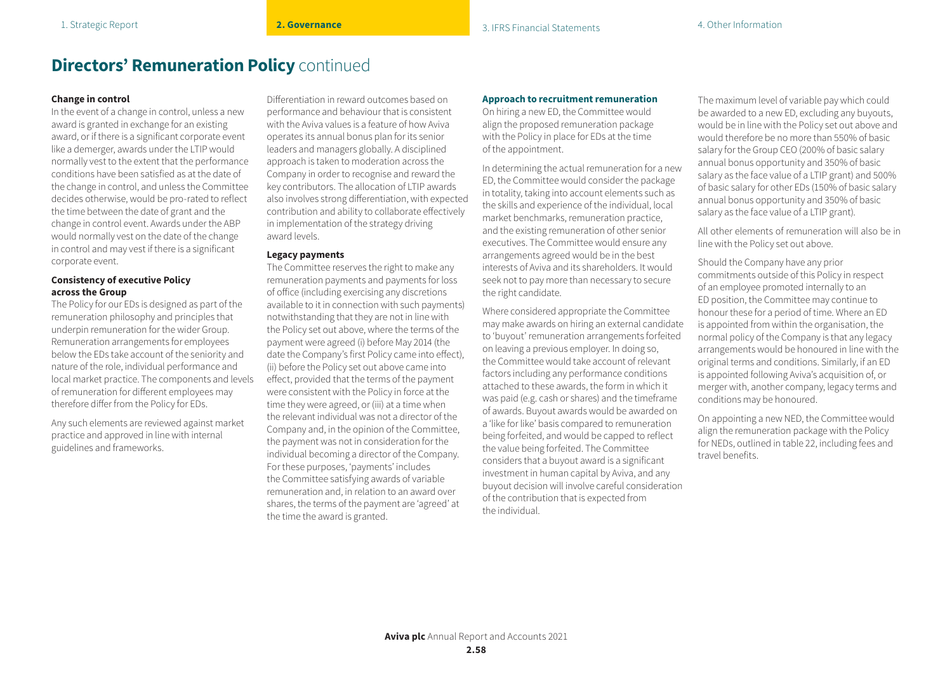#### **Change in control**

In the event of a change in control, unless a new award is granted in exchange for an existing award, or if there is a significant corporate event like a demerger, awards under the LTIP would normally vest to the extent that the performance conditions have been satisfied as at the date of the change in control, and unless the Committee decides otherwise, would be pro-rated to reflect the time between the date of grant and the change in control event. Awards under the ABP would normally vest on the date of the change in control and may vest if there is a significant corporate event.

#### **Consistency of executive Policy across the Group**

The Policy for our EDs is designed as part of the remuneration philosophy and principles that underpin remuneration for the wider Group. Remuneration arrangements for employees below the EDs take account of the seniority and nature of the role, individual performance and local market practice. The components and levels of remuneration for different employees may therefore differ from the Policy for EDs.

Any such elements are reviewed against market practice and approved in line with internal guidelines and frameworks.

Differentiation in reward outcomes based on performance and behaviour that is consistent with the Aviva values is a feature of how Aviva operates its annual bonus plan for its senior leaders and managers globally. A disciplined approach is taken to moderation across the Company in order to recognise and reward the key contributors. The allocation of LTIP awards also involves strong differentiation, with expected contribution and ability to collaborate effectively in implementation of the strategy driving award levels.

#### **Legacy payments**

The Committee reserves the right to make any remuneration payments and payments for loss of office (including exercising any discretions available to it in connection with such payments) notwithstanding that they are not in line with the Policy set out above, where the terms of the payment were agreed (i) before May 2014 (the date the Company's first Policy came into effect), (ii) before the Policy set out above came into effect, provided that the terms of the payment were consistent with the Policy in force at the time they were agreed, or (iii) at a time when the relevant individual was not a director of the Company and, in the opinion of the Committee, the payment was not in consideration for the individual becoming a director of the Company. For these purposes, 'payments' includes the Committee satisfying awards of variable remuneration and, in relation to an award over shares, the terms of the payment are 'agreed' at the time the award is granted.

#### **Approach to recruitment remuneration**

On hiring a new ED, the Committee would align the proposed remuneration package with the Policy in place for EDs at the time of the appointment.

In determining the actual remuneration for a new ED, the Committee would consider the package in totality, taking into account elements such as the skills and experience of the individual, local market benchmarks, remuneration practice, and the existing remuneration of other senior executives. The Committee would ensure any arrangements agreed would be in the best interests of Aviva and its shareholders. It would seek not to pay more than necessary to secure the right candidate.

Where considered appropriate the Committee may make awards on hiring an external candidate to 'buyout' remuneration arrangements forfeited on leaving a previous employer. In doing so, the Committee would take account of relevant factors including any performance conditions attached to these awards, the form in which it was paid (e.g. cash or shares) and the timeframe of awards. Buyout awards would be awarded on a 'like for like' basis compared to remuneration being forfeited, and would be capped to reflect the value being forfeited. The Committee considers that a buyout award is a significant investment in human capital by Aviva, and any buyout decision will involve careful consideration of the contribution that is expected from the individual.

The maximum level of variable pay which could be awarded to a new ED, excluding any buyouts, would be in line with the Policy set out above and would therefore be no more than 550% of basic salary for the Group CEO (200% of basic salary annual bonus opportunity and 350% of basic salary as the face value of a LTIP grant) and 500% of basic salary for other EDs (150% of basic salary annual bonus opportunity and 350% of basic salary as the face value of a LTIP grant).

All other elements of remuneration will also be in line with the Policy set out above.

Should the Company have any prior commitments outside of this Policy in respect of an employee promoted internally to an ED position, the Committee may continue to honour these for a period of time. Where an ED is appointed from within the organisation, the normal policy of the Company is that any legacy arrangements would be honoured in line with the original terms and conditions. Similarly, if an ED is appointed following Aviva's acquisition of, or merger with, another company, legacy terms and conditions may be honoured.

On appointing a new NED, the Committee would align the remuneration package with the Policy for NEDs, outlined in table 22, including fees and travel benefits.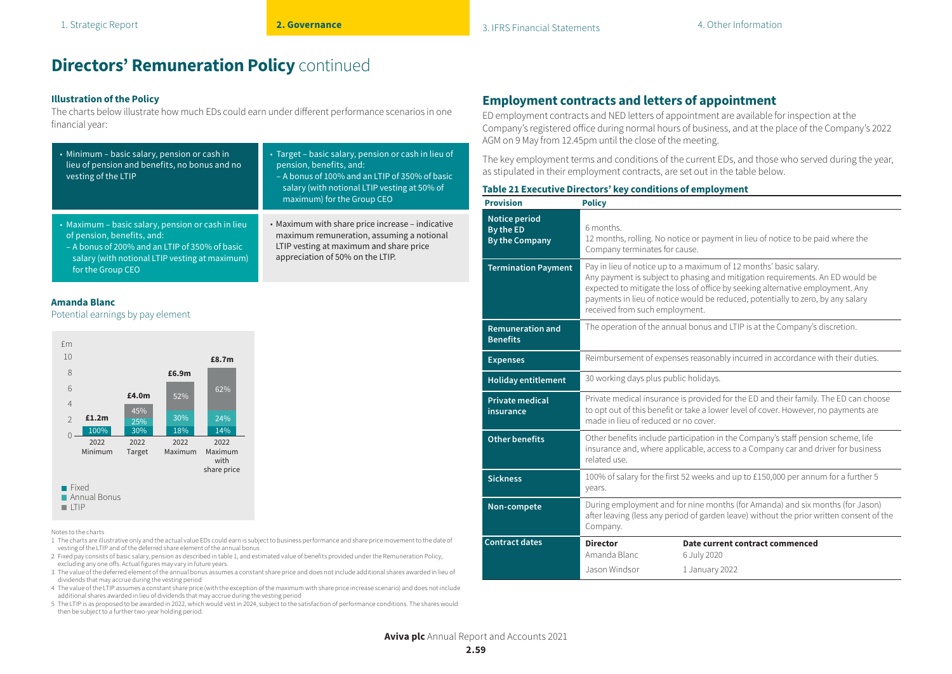### **Illustration of the Policy**

The charts below illustrate how much EDs could earn under different performance scenarios in one financial year:

| • Minimum - basic salary, pension or cash in<br>lieu of pension and benefits, no bonus and no<br>vesting of the LTIP                                                                                     | • Target – basic salary, pension or cash in lieu of<br>pension, benefits, and:<br>- A bonus of 100% and an LTIP of 350% of basic<br>salary (with notional LTIP vesting at 50% of<br>maximum) for the Group CEO |
|----------------------------------------------------------------------------------------------------------------------------------------------------------------------------------------------------------|----------------------------------------------------------------------------------------------------------------------------------------------------------------------------------------------------------------|
| • Maximum – basic salary, pension or cash in lieu<br>of pension, benefits, and:<br>- A bonus of 200% and an LTIP of 350% of basic<br>salary (with notional LTIP vesting at maximum)<br>for the Group CEO | • Maximum with share price increase – indicative<br>maximum remuneration, assuming a notional<br>LTIP vesting at maximum and share price<br>appreciation of 50% on the LTIP.                                   |

#### **Amanda Blanc**

Potential earnings by pay element



#### Notes to the charts

- 1 The charts are illustrative only and the actual value EDs could earn is subject to business performance and share price movement to the date of vesting of the LTIP and of the deferred share element of the annual bonus
- 2 Fixed pay consists of basic salary, pension as described in table 1, and estimated value of benefits provided under the Remuneration Policy, excluding any one offs. Actual figures may vary in future years.
- 3 The value of the deferred element of the annual bonus assumes a constant share price and does not include additional shares awarded in lieu of dividends that may accrue during the vesting period
- 4 The value of the LTIP assumes a constant share price (with the exception of the maximum with share price increase scenario) and does not include additional shares awarded in lieu of dividends that may accrue during the vesting period
- 5 The LTIP is as proposed to be awarded in 2022, which would vest in 2024, subject to the satisfaction of performance conditions. The shares would then be subject to a further two-year holding period.

## **Employment contracts and letters of appointment**

ED employment contracts and NED letters of appointment are available for inspection at the Company's registered office during normal hours of business, and at the place of the Company's 2022 AGM on 9 May from 12.45pm until the close of the meeting.

The key employment terms and conditions of the current EDs, and those who served during the year, as stipulated in their employment contracts, are set out in the table below.

#### **Table 21 Executive Directors' key conditions of employment**

| <b>Provision</b>                                           | <b>Policy</b>                                                                                                                                                                                                                                                                                                                                             |                                                                  |  |
|------------------------------------------------------------|-----------------------------------------------------------------------------------------------------------------------------------------------------------------------------------------------------------------------------------------------------------------------------------------------------------------------------------------------------------|------------------------------------------------------------------|--|
| <b>Notice period</b><br>By the ED<br><b>By the Company</b> | 6 months.<br>12 months, rolling. No notice or payment in lieu of notice to be paid where the<br>Company terminates for cause.                                                                                                                                                                                                                             |                                                                  |  |
| <b>Termination Payment</b>                                 | Pay in lieu of notice up to a maximum of 12 months' basic salary.<br>Any payment is subject to phasing and mitigation requirements. An ED would be<br>expected to mitigate the loss of office by seeking alternative employment. Any<br>payments in lieu of notice would be reduced, potentially to zero, by any salary<br>received from such employment. |                                                                  |  |
| <b>Remuneration and</b><br><b>Benefits</b>                 | The operation of the annual bonus and LTIP is at the Company's discretion.                                                                                                                                                                                                                                                                                |                                                                  |  |
| <b>Expenses</b>                                            | Reimbursement of expenses reasonably incurred in accordance with their duties.                                                                                                                                                                                                                                                                            |                                                                  |  |
| <b>Holiday entitlement</b>                                 | 30 working days plus public holidays.                                                                                                                                                                                                                                                                                                                     |                                                                  |  |
| <b>Private medical</b><br>insurance                        | Private medical insurance is provided for the ED and their family. The ED can choose<br>to opt out of this benefit or take a lower level of cover. However, no payments are<br>made in lieu of reduced or no cover.                                                                                                                                       |                                                                  |  |
| <b>Other benefits</b>                                      | Other benefits include participation in the Company's staff pension scheme, life<br>insurance and, where applicable, access to a Company car and driver for business<br>ezu batelar                                                                                                                                                                       |                                                                  |  |
| <b>Sickness</b>                                            | 100% of salary for the first 52 weeks and up to £150,000 per annum for a further 5<br>years.                                                                                                                                                                                                                                                              |                                                                  |  |
| Non-compete                                                | During employment and for nine months (for Amanda) and six months (for Jason)<br>after leaving (less any period of garden leave) without the prior written consent of the<br>Company.                                                                                                                                                                     |                                                                  |  |
| <b>Contract dates</b>                                      | <b>Director</b><br>Amanda Blanc<br>Jason Windsor                                                                                                                                                                                                                                                                                                          | Date current contract commenced<br>6 July 2020<br>1 January 2022 |  |

**Aviva plc** Annual Report and Accounts 2021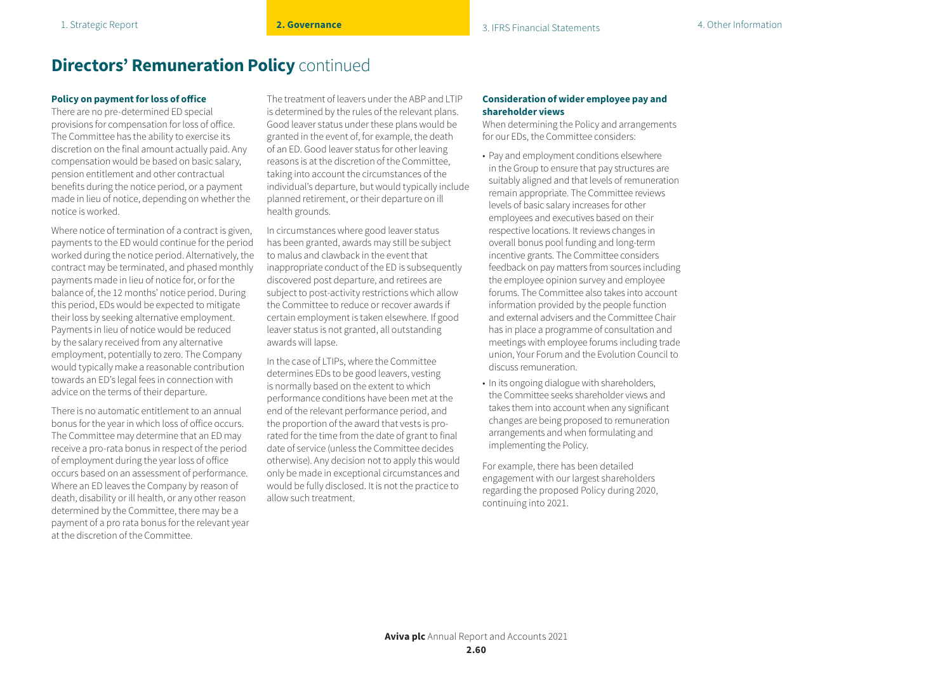#### **Policy on payment for loss of office**

There are no pre-determined ED special provisions for compensation for loss of office. The Committee has the ability to exercise its discretion on the final amount actually paid. Any compensation would be based on basic salary, pension entitlement and other contractual benefits during the notice period, or a payment made in lieu of notice, depending on whether the notice is worked.

Where notice of termination of a contract is given, payments to the ED would continue for the period worked during the notice period. Alternatively, the contract may be terminated, and phased monthly payments made in lieu of notice for, or for the balance of, the 12 months' notice period. During this period, EDs would be expected to mitigate their loss by seeking alternative employment. Payments in lieu of notice would be reduced by the salary received from any alternative employment, potentially to zero. The Company would typically make a reasonable contribution towards an ED's legal fees in connection with advice on the terms of their departure.

There is no automatic entitlement to an annual bonus for the year in which loss of office occurs. The Committee may determine that an ED may receive a pro-rata bonus in respect of the period of employment during the year loss of office occurs based on an assessment of performance. Where an ED leaves the Company by reason of death, disability or ill health, or any other reason determined by the Committee, there may be a payment of a pro rata bonus for the relevant year at the discretion of the Committee.

The treatment of leavers under the ABP and LTIP is determined by the rules of the relevant plans. Good leaver status under these plans would be granted in the event of, for example, the death of an ED. Good leaver status for other leaving reasons is at the discretion of the Committee, taking into account the circumstances of the individual's departure, but would typically include planned retirement, or their departure on ill health grounds.

In circumstances where good leaver status has been granted, awards may still be subject to malus and clawback in the event that inappropriate conduct of the ED is subsequently discovered post departure, and retirees are subject to post-activity restrictions which allow the Committee to reduce or recover awards if certain employment is taken elsewhere. If good leaver status is not granted, all outstanding awards will lapse.

In the case of LTIPs, where the Committee determines EDs to be good leavers, vesting is normally based on the extent to which performance conditions have been met at the end of the relevant performance period, and the proportion of the award that vests is prorated for the time from the date of grant to final date of service (unless the Committee decides otherwise). Any decision not to apply this would only be made in exceptional circumstances and would be fully disclosed. It is not the practice to allow such treatment.

#### **Consideration of wider employee pay and shareholder views**

When determining the Policy and arrangements for our EDs, the Committee considers:

- Pay and employment conditions elsewhere in the Group to ensure that pay structures are suitably aligned and that levels of remuneration remain appropriate. The Committee reviews levels of basic salary increases for other employees and executives based on their respective locations. It reviews changes in overall bonus pool funding and long-term incentive grants. The Committee considers feedback on pay matters from sources including the employee opinion survey and employee forums. The Committee also takes into account information provided by the people function and external advisers and the Committee Chair has in place a programme of consultation and meetings with employee forums including trade union, Your Forum and the Evolution Council to discuss remuneration.
- In its ongoing dialogue with shareholders, the Committee seeks shareholder views and takes them into account when any significant changes are being proposed to remuneration arrangements and when formulating and implementing the Policy.

For example, there has been detailed engagement with our largest shareholders regarding the proposed Policy during 2020, continuing into 2021.